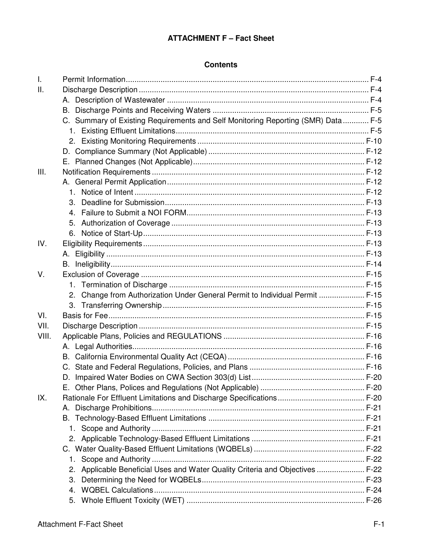# **ATTACHMENT F - Fact Sheet**

## **Contents**

| $\mathbf{L}$ |                                                                                   |  |
|--------------|-----------------------------------------------------------------------------------|--|
| II.          |                                                                                   |  |
|              |                                                                                   |  |
|              |                                                                                   |  |
|              | C. Summary of Existing Requirements and Self Monitoring Reporting (SMR) Data  F-5 |  |
|              |                                                                                   |  |
|              |                                                                                   |  |
|              |                                                                                   |  |
|              |                                                                                   |  |
| III.         |                                                                                   |  |
|              |                                                                                   |  |
|              |                                                                                   |  |
|              | З.                                                                                |  |
|              |                                                                                   |  |
|              |                                                                                   |  |
|              | 6.                                                                                |  |
| IV.          |                                                                                   |  |
|              |                                                                                   |  |
|              |                                                                                   |  |
| V.           |                                                                                   |  |
|              |                                                                                   |  |
|              | 2. Change from Authorization Under General Permit to Individual Permit  F-15      |  |
|              |                                                                                   |  |
| VI.          |                                                                                   |  |
| VII.         |                                                                                   |  |
| VIII.        |                                                                                   |  |
|              |                                                                                   |  |
|              |                                                                                   |  |
|              |                                                                                   |  |
|              |                                                                                   |  |
|              |                                                                                   |  |
| IX.          |                                                                                   |  |
|              |                                                                                   |  |
|              |                                                                                   |  |
|              |                                                                                   |  |
|              |                                                                                   |  |
|              |                                                                                   |  |
|              | 1.                                                                                |  |
|              | Applicable Beneficial Uses and Water Quality Criteria and Objectives  F-22<br>2.  |  |
|              | 3.                                                                                |  |
|              |                                                                                   |  |
|              | 5.                                                                                |  |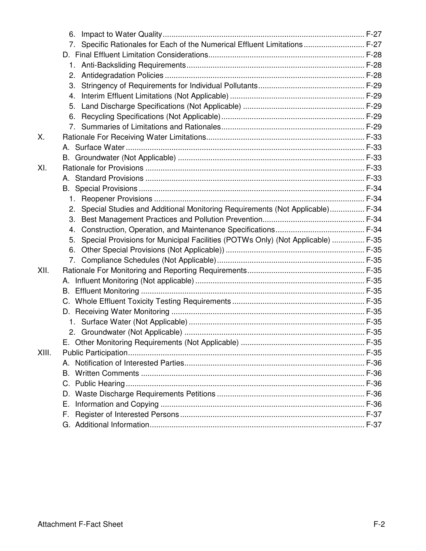|       | 6.                                                                                    |  |
|-------|---------------------------------------------------------------------------------------|--|
|       | Specific Rationales for Each of the Numerical Effluent Limitations  F-27              |  |
|       |                                                                                       |  |
|       |                                                                                       |  |
|       | 2.                                                                                    |  |
|       | 3.                                                                                    |  |
|       | 4.                                                                                    |  |
|       | 5.                                                                                    |  |
|       | 6.                                                                                    |  |
|       | 7.                                                                                    |  |
| X.    |                                                                                       |  |
|       |                                                                                       |  |
|       |                                                                                       |  |
| XI.   |                                                                                       |  |
|       |                                                                                       |  |
|       |                                                                                       |  |
|       | $1_{-}$                                                                               |  |
|       | Special Studies and Additional Monitoring Requirements (Not Applicable) F-34<br>2.    |  |
|       | 3.                                                                                    |  |
|       | 4.                                                                                    |  |
|       | Special Provisions for Municipal Facilities (POTWs Only) (Not Applicable)  F-35<br>5. |  |
|       | 6.                                                                                    |  |
|       | 7.                                                                                    |  |
| XII.  |                                                                                       |  |
|       |                                                                                       |  |
|       |                                                                                       |  |
|       |                                                                                       |  |
|       |                                                                                       |  |
|       |                                                                                       |  |
|       |                                                                                       |  |
|       |                                                                                       |  |
| XIII. |                                                                                       |  |
|       |                                                                                       |  |
|       |                                                                                       |  |
|       |                                                                                       |  |
|       |                                                                                       |  |
|       | Е.                                                                                    |  |
|       | F.                                                                                    |  |
|       |                                                                                       |  |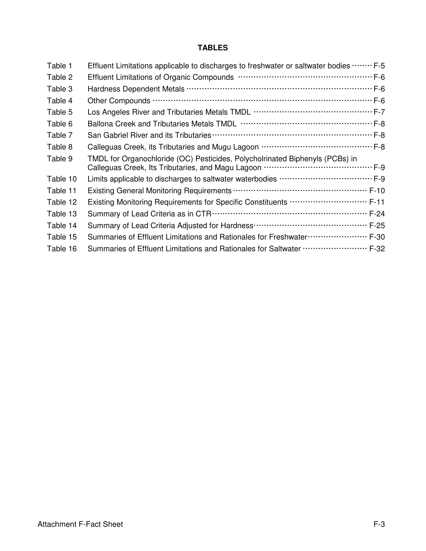# **TABLES**

| Table 1  | Effluent Limitations applicable to discharges to freshwater or saltwater bodies  F-5            |
|----------|-------------------------------------------------------------------------------------------------|
| Table 2  | Effluent Limitations of Organic Compounds ……………………………………………… F-6                                |
| Table 3  |                                                                                                 |
| Table 4  |                                                                                                 |
| Table 5  |                                                                                                 |
| Table 6  |                                                                                                 |
| Table 7  |                                                                                                 |
| Table 8  |                                                                                                 |
| Table 9  | TMDL for Organochloride (OC) Pesticides, Polycholrinated Biphenyls (PCBs) in                    |
| Table 10 | Limits applicable to discharges to saltwater waterbodies ……………………………… F-9                       |
| Table 11 |                                                                                                 |
| Table 12 |                                                                                                 |
| Table 13 |                                                                                                 |
| Table 14 |                                                                                                 |
| Table 15 | Summaries of Effluent Limitations and Rationales for Freshwater ·························· F-30 |
| Table 16 | Summaries of Effluent Limitations and Rationales for Saltwater  F-32                            |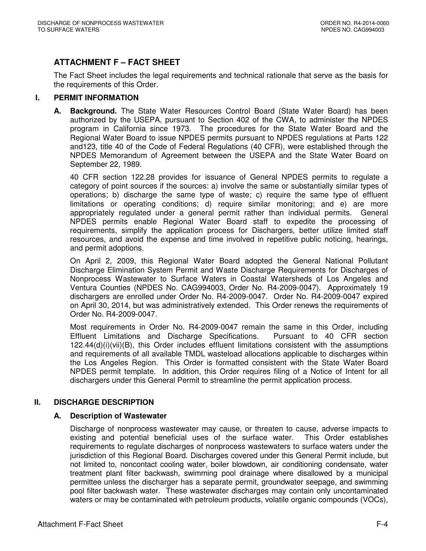# **ATTACHMENT F – FACT SHEET**

The Fact Sheet includes the legal requirements and technical rationale that serve as the basis for the requirements of this Order.

# **I. PERMIT INFORMATION**

**A. Background.** The State Water Resources Control Board (State Water Board) has been authorized by the USEPA, pursuant to Section 402 of the CWA, to administer the NPDES program in California since 1973. The procedures for the State Water Board and the Regional Water Board to issue NPDES permits pursuant to NPDES regulations at Parts 122 and123, title 40 of the Code of Federal Regulations (40 CFR), were established through the NPDES Memorandum of Agreement between the USEPA and the State Water Board on September 22, 1989.

40 CFR section 122.28 provides for issuance of General NPDES permits to regulate a category of point sources if the sources: a) involve the same or substantially similar types of operations; b) discharge the same type of waste; c) require the same type of effluent limitations or operating conditions; d) require similar monitoring; and e) are more appropriately regulated under a general permit rather than individual permits. General NPDES permits enable Regional Water Board staff to expedite the processing of requirements, simplify the application process for Dischargers, better utilize limited staff resources, and avoid the expense and time involved in repetitive public noticing, hearings, and permit adoptions.

On April 2, 2009, this Regional Water Board adopted the General National Pollutant Discharge Elimination System Permit and Waste Discharge Requirements for Discharges of Nonprocess Wastewater to Surface Waters in Coastal Watersheds of Los Angeles and Ventura Counties (NPDES No. CAG994003, Order No. R4-2009-0047). Approximately 19 dischargers are enrolled under Order No. R4-2009-0047. Order No. R4-2009-0047 expired on April 30, 2014, but was administratively extended. This Order renews the requirements of Order No. R4-2009-0047.

Most requirements in Order No. R4-2009-0047 remain the same in this Order, including Effluent Limitations and Discharge Specifications. Pursuant to 40 CFR section  $122.44(d)(i)(vii)(B)$ , this Order includes effluent limitations consistent with the assumptions and requirements of all available TMDL wasteload allocations applicable to discharges within the Los Angeles Region. This Order is formatted consistent with the State Water Board NPDES permit template. In addition, this Order requires filing of a Notice of Intent for all dischargers under this General Permit to streamline the permit application process.

# **II. DISCHARGE DESCRIPTION**

# **A. Description of Wastewater**

Discharge of nonprocess wastewater may cause, or threaten to cause, adverse impacts to existing and potential beneficial uses of the surface water. This Order establishes requirements to regulate discharges of nonprocess wastewaters to surface waters under the jurisdiction of this Regional Board. Discharges covered under this General Permit include, but not limited to, noncontact cooling water, boiler blowdown, air conditioning condensate, water treatment plant filter backwash, swimming pool drainage where disallowed by a municipal permittee unless the discharger has a separate permit, groundwater seepage, and swimming pool filter backwash water. These wastewater discharges may contain only uncontaminated waters or may be contaminated with petroleum products, volatile organic compounds (VOCs),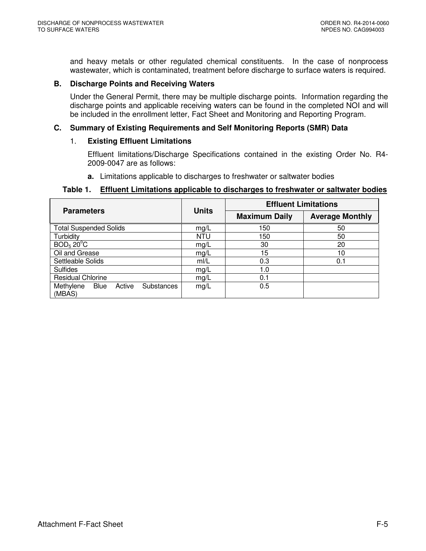and heavy metals or other regulated chemical constituents. In the case of nonprocess wastewater, which is contaminated, treatment before discharge to surface waters is required.

## **B. Discharge Points and Receiving Waters**

Under the General Permit, there may be multiple discharge points. Information regarding the discharge points and applicable receiving waters can be found in the completed NOI and will be included in the enrollment letter, Fact Sheet and Monitoring and Reporting Program.

## **C. Summary of Existing Requirements and Self Monitoring Reports (SMR) Data**

#### 1. **Existing Effluent Limitations**

Effluent limitations/Discharge Specifications contained in the existing Order No. R4- 2009-0047 are as follows:

**a.** Limitations applicable to discharges to freshwater or saltwater bodies

# **Table 1. Effluent Limitations applicable to discharges to freshwater or saltwater bodies**

|                                                                   |              | <b>Effluent Limitations</b> |                        |  |  |
|-------------------------------------------------------------------|--------------|-----------------------------|------------------------|--|--|
| <b>Parameters</b>                                                 | <b>Units</b> | <b>Maximum Daily</b>        | <b>Average Monthly</b> |  |  |
| <b>Total Suspended Solids</b>                                     | mg/L         | 150                         | 50                     |  |  |
| Turbidity                                                         | NTU          | 150                         | 50                     |  |  |
| BOD <sub>5</sub> 20 <sup>o</sup> C                                | mg/L         | 30                          | 20                     |  |  |
| Oil and Grease                                                    | mg/L         | 15                          | 10                     |  |  |
| Settleable Solids                                                 | m/L          | 0.3                         | 0.1                    |  |  |
| <b>Sulfides</b>                                                   | mg/L         | 1.0                         |                        |  |  |
| <b>Residual Chlorine</b>                                          | mg/L         | 0.1                         |                        |  |  |
| Methylene<br><b>Substances</b><br>Active<br><b>Blue</b><br>(MBAS) | mg/L         | 0.5                         |                        |  |  |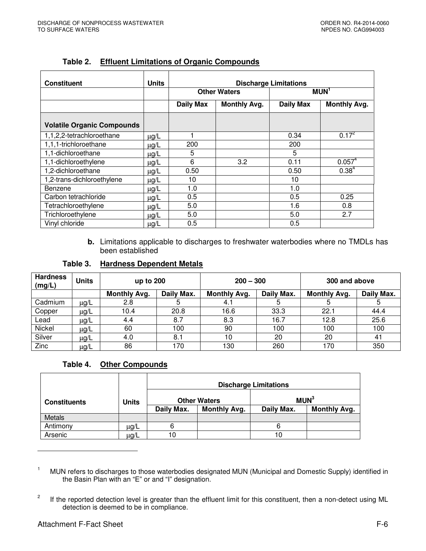| <b>Constituent</b>                | <b>Units</b> | <b>Discharge Limitations</b> |                     |                  |                     |  |  |
|-----------------------------------|--------------|------------------------------|---------------------|------------------|---------------------|--|--|
|                                   |              |                              | <b>Other Waters</b> |                  | MUN <sup>1</sup>    |  |  |
|                                   |              | <b>Daily Max</b>             | <b>Monthly Avg.</b> | <b>Daily Max</b> | <b>Monthly Avg.</b> |  |  |
| <b>Volatile Organic Compounds</b> |              |                              |                     |                  |                     |  |  |
| 1,1,2,2-tetrachloroethane         | $\mu$ g/L    |                              |                     | 0.34             | $0.17^2$            |  |  |
| 1,1,1-trichloroethane             | $\mu$ g/L    | 200                          |                     | 200              |                     |  |  |
| 1,1-dichloroethane                | $\mu$ g/L    | 5                            |                     | 5                |                     |  |  |
| 1,1-dichloroethylene              | $\mu$ g/L    | 6                            | 3.2                 | 0.11             | 0.057 <sup>4</sup>  |  |  |
| 1,2-dichloroethane                | $\mu$ g/L    | 0.50                         |                     | 0.50             | $0.38^{4}$          |  |  |
| 1,2-trans-dichloroethylene        | $\mu$ g/L    | 10                           |                     | 10               |                     |  |  |
| Benzene                           | $\mu$ g/L    | 1.0                          |                     | 1.0              |                     |  |  |
| Carbon tetrachloride              | $\mu$ g/L    | 0.5                          |                     | 0.5              | 0.25                |  |  |
| Tetrachloroethylene               | $\mu$ g/L    | 5.0                          |                     | 1.6              | 0.8                 |  |  |
| Trichloroethylene                 | $\mu$ g/L    | 5.0                          |                     | 5.0              | 2.7                 |  |  |
| Vinyl chloride                    | $\mu$ g/L    | 0.5                          |                     | 0.5              |                     |  |  |

# **Table 2. Effluent Limitations of Organic Compounds**

**b.** Limitations applicable to discharges to freshwater waterbodies where no TMDLs has been established

**Table 3. Hardness Dependent Metals** 

| <b>Hardness</b><br>(mg/L) | <b>Units</b> | up to 200           |            | $200 - 300$         |            | 300 and above       |            |  |
|---------------------------|--------------|---------------------|------------|---------------------|------------|---------------------|------------|--|
|                           |              | <b>Monthly Avg.</b> | Daily Max. | <b>Monthly Avg.</b> | Daily Max. | <b>Monthly Avg.</b> | Daily Max. |  |
| Cadmium                   | $\mu$ g/L    | 2.8                 |            | 4.                  |            |                     |            |  |
| Copper                    | μg/L         | 10.4                | 20.8       | 16.6                | 33.3       | 22.1                | 44.4       |  |
| Lead                      | $\mu$ g/L    | 4.4                 | 8.7        | 8.3                 | 16.7       | 12.8                | 25.6       |  |
| Nickel                    | μg/L         | 60                  | 100        | 90                  | 100        | 100                 | 100        |  |
| Silver                    | $\mu$ g/L    | 4.0                 | 8.1        | 10                  | 20         | 20                  | 41         |  |
| Zinc                      | $\mu$ g/L    | 86                  | 170        | 130                 | 260        | 170                 | 350        |  |

# **Table 4. Other Compounds**

|                     |              |            |                     | <b>Discharge Limitations</b> |                     |
|---------------------|--------------|------------|---------------------|------------------------------|---------------------|
| <b>Constituents</b> | <b>Units</b> |            | <b>Other Waters</b> |                              | MUN <sup>3</sup>    |
|                     |              | Daily Max. | <b>Monthly Avg.</b> | Daily Max.                   | <b>Monthly Avg.</b> |
| Metals              |              |            |                     |                              |                     |
| Antimony            | μg/L         | 6          |                     | 6                            |                     |
| Arsenic             | $\mu$ g/L    | 10         |                     | 10                           |                     |

<sup>1</sup> MUN refers to discharges to those waterbodies designated MUN (Municipal and Domestic Supply) identified in the Basin Plan with an "E" or and "I" designation.

-

<sup>2</sup> If the reported detection level is greater than the effluent limit for this constituent, then a non-detect using ML detection is deemed to be in compliance.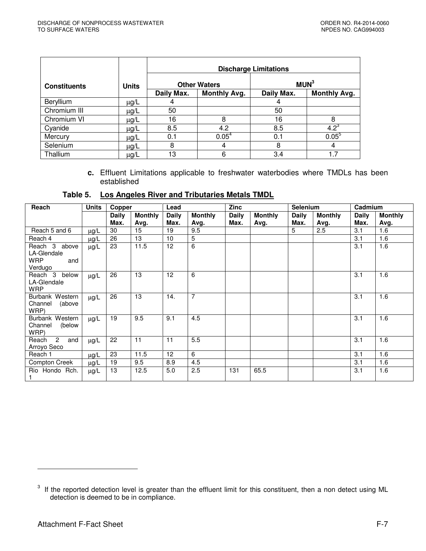|                     |              |            |                     | <b>Discharge Limitations</b> |                     |
|---------------------|--------------|------------|---------------------|------------------------------|---------------------|
| <b>Constituents</b> | <b>Units</b> |            | <b>Other Waters</b> | MUN <sup>3</sup>             |                     |
|                     |              | Daily Max. | <b>Monthly Avg.</b> | Daily Max.                   | <b>Monthly Avg.</b> |
| Beryllium           | μg/L         | 4          |                     |                              |                     |
| Chromium III        | $\mu$ g/L    | 50         |                     | 50                           |                     |
| Chromium VI         | $\mu$ g/L    | 16         | 8                   | 16                           | 8                   |
| Cyanide             | μg/L         | 8.5        | 4.2                 | 8.5                          | $4.2^{\circ}$       |
| Mercury             | $\mu$ g/L    | 0.1        | 0.05 <sup>4</sup>   | 0.1                          | $0.05^5$            |
| Selenium            | $\mu$ g/L    | 8          | 4                   | 8                            |                     |
| Thallium            | $\mu$ g/L    | 13         | 6                   | 3.4                          | 1.7                 |

**c.** Effluent Limitations applicable to freshwater waterbodies where TMDLs has been established

| <b>Los Angeles River and Tributaries Metals TMDL</b> | Table 5. |  |  |  |  |  |
|------------------------------------------------------|----------|--|--|--|--|--|
|------------------------------------------------------|----------|--|--|--|--|--|

| Reach                                                        | <b>Units</b> | Copper       |                | Lead         |                | <b>Zinc</b>  |                | <b>Selenium</b> |                | Cadmium      |                |
|--------------------------------------------------------------|--------------|--------------|----------------|--------------|----------------|--------------|----------------|-----------------|----------------|--------------|----------------|
|                                                              |              | <b>Daily</b> | <b>Monthly</b> | <b>Daily</b> | <b>Monthly</b> | <b>Daily</b> | <b>Monthly</b> | <b>Daily</b>    | <b>Monthly</b> | <b>Daily</b> | <b>Monthly</b> |
|                                                              |              | Max.         | Avg.           | Max.         | Avg.           | Max.         | Avg.           | Max.            | Avg.           | Max.         | Avg.           |
| Reach 5 and 6                                                | μg/L         | 30           | 15             | 19           | 9.5            |              |                | 5               | 2.5            | 3.1          | 1.6            |
| Reach 4                                                      | $\mu$ g/L    | 26           | 13             | 10           | 5              |              |                |                 |                | 3.1          | 1.6            |
| Reach 3 above<br>LA-Glendale<br><b>WRP</b><br>and<br>Verdugo | $\mu$ g/L    | 23           | 11.5           | 12           | 6              |              |                |                 |                | 3.1          | 1.6            |
| Reach 3 below<br>LA-Glendale<br><b>WRP</b>                   | µg/L         | 26           | 13             | 12           | 6              |              |                |                 |                | 3.1          | 1.6            |
| Burbank Western<br>(above<br>Channel<br>WRP)                 | $\mu$ g/L    | 26           | 13             | 14.          | $\overline{7}$ |              |                |                 |                | 3.1          | 1.6            |
| Burbank Western<br>(below<br>Channel<br>WRP)                 | $\mu$ g/L    | 19           | 9.5            | 9.1          | 4.5            |              |                |                 |                | 3.1          | 1.6            |
| 2<br>and<br>Reach<br>Arroyo Seco                             | µg/L         | 22           | 11             | 11           | 5.5            |              |                |                 |                | 3.1          | 1.6            |
| Reach 1                                                      | $\mu$ g/L    | 23           | 11.5           | 12           | 6              |              |                |                 |                | 3.1          | 1.6            |
| Compton Creek                                                | $\mu$ g/L    | 19           | 9.5            | 8.9          | 4.5            |              |                |                 |                | 3.1          | 1.6            |
| Rio Hondo Rch.                                               | $\mu$ g/L    | 13           | 12.5           | 5.0          | 2.5            | 131          | 65.5           |                 |                | 3.1          | 1.6            |

-

 $3$  If the reported detection level is greater than the effluent limit for this constituent, then a non detect using ML detection is deemed to be in compliance.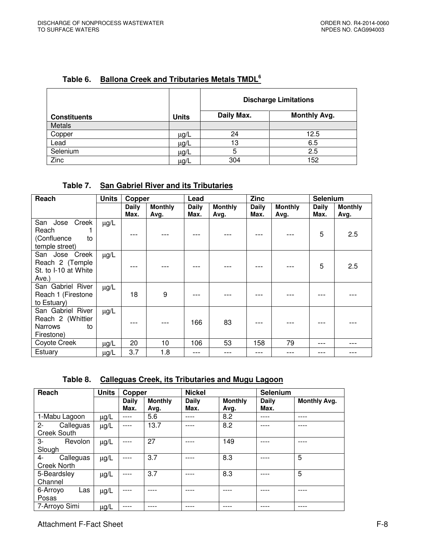| <b>Ballona Creek and Tributaries Metals TMDL<sup>6</sup></b> |
|--------------------------------------------------------------|
|--------------------------------------------------------------|

|                     |              | <b>Discharge Limitations</b> |                     |  |  |
|---------------------|--------------|------------------------------|---------------------|--|--|
| <b>Constituents</b> | <b>Units</b> | Daily Max.                   | <b>Monthly Avg.</b> |  |  |
| Metals              |              |                              |                     |  |  |
| Copper              | $\mu$ g/L    | 24                           | 12.5                |  |  |
| Lead                | $\mu$ g/L    | 13                           | 6.5                 |  |  |
| Selenium            | $\mu$ g/L    | 5                            | 2.5                 |  |  |
| Zinc                | $\mu$ g/L    | 304                          | 152                 |  |  |

# **Table 7. San Gabriel River and its Tributaries**

| Reach                                                                        | <b>Units</b> |                      | Copper                 |                      | <b>Zinc</b><br>Lead    |                      |                        | Selenium             |                        |
|------------------------------------------------------------------------------|--------------|----------------------|------------------------|----------------------|------------------------|----------------------|------------------------|----------------------|------------------------|
|                                                                              |              | <b>Daily</b><br>Max. | <b>Monthly</b><br>Avg. | <b>Daily</b><br>Max. | <b>Monthly</b><br>Avg. | <b>Daily</b><br>Max. | <b>Monthly</b><br>Avg. | <b>Daily</b><br>Max. | <b>Monthly</b><br>Avg. |
| Creek<br>San Jose<br>Reach<br>(Confluence<br>to<br>temple street)            | $\mu$ g/L    |                      |                        |                      |                        |                      |                        | 5                    | 2.5                    |
| San Jose Creek<br>Reach 2 (Temple<br>St. to I-10 at White<br>Ave.)           | $\mu$ g/L    |                      |                        |                      |                        |                      |                        | 5                    | 2.5                    |
| San Gabriel River<br>Reach 1 (Firestone<br>to Estuary)                       | $\mu$ g/L    | 18                   | 9                      |                      |                        |                      |                        |                      |                        |
| San Gabriel River<br>Reach 2 (Whittier<br><b>Narrows</b><br>to<br>Firestone) | $\mu$ g/L    |                      |                        | 166                  | 83                     |                      |                        |                      |                        |
| Coyote Creek                                                                 | $\mu$ g/L    | 20                   | 10                     | 106                  | 53                     | 158                  | 79                     | ---                  |                        |
| Estuary                                                                      | $\mu g/L$    | 3.7                  | 1.8                    | ---                  |                        |                      |                        |                      |                        |

**Table 8. Calleguas Creek, its Tributaries and Mugu Lagoon** 

| Reach                                    | <b>Units</b> | Copper               |                        | <b>Nickel</b>        |                        | Selenium             |                     |
|------------------------------------------|--------------|----------------------|------------------------|----------------------|------------------------|----------------------|---------------------|
|                                          |              | <b>Daily</b><br>Max. | <b>Monthly</b><br>Avg. | <b>Daily</b><br>Max. | <b>Monthly</b><br>Avg. | <b>Daily</b><br>Max. | <b>Monthly Avg.</b> |
| 1-Mabu Lagoon                            | $\mu$ g/L    | ----                 | 5.6                    |                      | 8.2                    |                      |                     |
| $2 -$<br>Calleguas<br><b>Creek South</b> | $\mu$ g/L    | ----                 | 13.7                   |                      | 8.2                    |                      |                     |
| $3-$<br>Revolon<br>Slough                | $\mu$ g/L    | ----                 | 27                     |                      | 149                    |                      |                     |
| $4-$<br>Calleguas<br><b>Creek North</b>  | $\mu$ g/L    | ----                 | 3.7                    |                      | 8.3                    |                      | 5                   |
| 5-Beardsley<br>Channel                   | $\mu$ g/L    | ----                 | 3.7                    |                      | 8.3                    |                      | 5                   |
| 6-Arroyo<br>Las<br>Posas                 | $\mu$ g/L    | ----                 |                        |                      |                        |                      |                     |
| 7-Arroyo Simi                            | $\mu$ g/L    |                      |                        |                      |                        |                      |                     |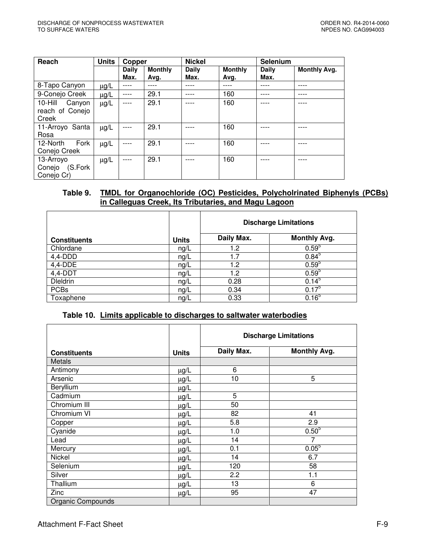| Reach                                         | <b>Units</b> | Copper               |                        | <b>Nickel</b>        |                        | Selenium             |                     |
|-----------------------------------------------|--------------|----------------------|------------------------|----------------------|------------------------|----------------------|---------------------|
|                                               |              | <b>Daily</b><br>Max. | <b>Monthly</b><br>Avg. | <b>Daily</b><br>Max. | <b>Monthly</b><br>Avg. | <b>Daily</b><br>Max. | <b>Monthly Avg.</b> |
| 8-Tapo Canyon                                 | $\mu$ g/L    |                      |                        |                      |                        |                      |                     |
| 9-Conejo Creek                                | $\mu$ g/L    | ----                 | 29.1                   |                      | 160                    |                      | ----                |
| 10-Hill<br>Canyon<br>reach of Conejo<br>Creek | $\mu$ g/L    | ----                 | 29.1                   |                      | 160                    |                      |                     |
| 11-Arroyo Santa<br>Rosa                       | $\mu$ g/L    |                      | 29.1                   |                      | 160                    |                      |                     |
| Fork<br>12-North<br>Conejo Creek              | $\mu$ g/L    |                      | 29.1                   |                      | 160                    |                      |                     |
| 13-Arroyo<br>(S.Fork<br>Conejo<br>Conejo Cr)  | $\mu$ g/L    | ----                 | 29.1                   | ----                 | 160                    |                      |                     |

# **Table 9. TMDL for Organochloride (OC) Pesticides, Polycholrinated Biphenyls (PCBs) in Calleguas Creek, Its Tributaries, and Magu Lagoon**

|                     |              | <b>Discharge Limitations</b> |                     |  |  |
|---------------------|--------------|------------------------------|---------------------|--|--|
| <b>Constituents</b> | <b>Units</b> | Daily Max.                   | <b>Monthly Avg.</b> |  |  |
| Chlordane           | ng/L         | 1.2                          | $0.59^{5}$          |  |  |
| $4,4$ -DDD          | ng/L         | 1.7                          | $0.84^{5}$          |  |  |
| 4,4-DDE             | ng/L         | 1.2                          | $0.59^{5}$          |  |  |
| $4,4-DDT$           | ng/L         | 1.2                          | $0.59^{5}$          |  |  |
| <b>Dleldrin</b>     | ng/L         | 0.28                         | $0.14^{5}$          |  |  |
| <b>PCBs</b>         | ng/L         | 0.34                         | $0.17^{5}$          |  |  |
| Toxaphene           | ng/L         | 0.33                         | $0.16^{\circ}$      |  |  |

# **Table 10. Limits applicable to discharges to saltwater waterbodies**

|                     |              | <b>Discharge Limitations</b> |                     |  |  |  |
|---------------------|--------------|------------------------------|---------------------|--|--|--|
| <b>Constituents</b> | <b>Units</b> | Daily Max.                   | <b>Monthly Avg.</b> |  |  |  |
| <b>Metals</b>       |              |                              |                     |  |  |  |
| Antimony            | $\mu$ g/L    | 6                            |                     |  |  |  |
| Arsenic             | $\mu$ g/L    | 10                           | 5                   |  |  |  |
| Beryllium           | $\mu$ g/L    |                              |                     |  |  |  |
| Cadmium             | $\mu$ g/L    | 5                            |                     |  |  |  |
| Chromium III        | $\mu$ g/L    | 50                           |                     |  |  |  |
| Chromium VI         | $\mu$ g/L    | 82                           | 41                  |  |  |  |
| Copper              | $\mu$ g/L    | 5.8                          | 2.9                 |  |  |  |
| Cyanide             | $\mu$ g/L    | 1.0                          | $0.50^{5}$          |  |  |  |
| Lead                | $\mu$ g/L    | 14                           | 7                   |  |  |  |
| Mercury             | $\mu$ g/L    | 0.1                          | $0.05^{5}$          |  |  |  |
| Nickel              | $\mu$ g/L    | 14                           | 6.7                 |  |  |  |
| Selenium            | $\mu$ g/L    | 120                          | 58                  |  |  |  |
| Silver              | $\mu$ g/L    | 2.2                          | 1.1                 |  |  |  |
| Thallium            | $\mu g/L$    | 13                           | 6                   |  |  |  |
| Zinc                | $\mu$ g/L    | 95                           | 47                  |  |  |  |
| Organic Compounds   |              |                              |                     |  |  |  |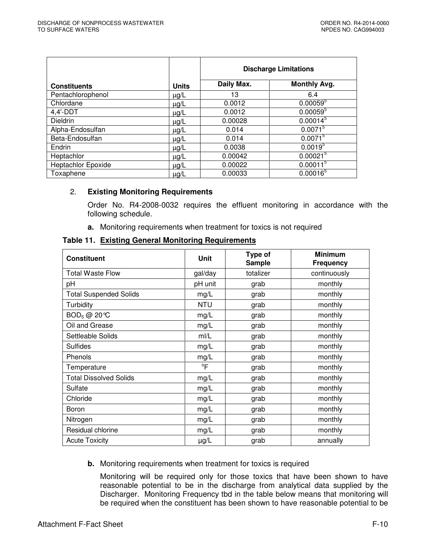|                     |              |            | <b>Discharge Limitations</b> |
|---------------------|--------------|------------|------------------------------|
| <b>Constituents</b> | <b>Units</b> | Daily Max. | <b>Monthly Avg.</b>          |
| Pentachlorophenol   | µg/L         | 13         | 6.4                          |
| Chlordane           | μg/L         | 0.0012     | $0.00059^{5}$                |
| $4,4'-DDT$          | $\mu$ g/L    | 0.0012     | $0.00059^{5}$                |
| <b>Dieldrin</b>     | $\mu$ g/L    | 0.00028    | $0.00014^{5}$                |
| Alpha-Endosulfan    | μg/L         | 0.014      | $0.0071^{5}$                 |
| Beta-Endosulfan     | $\mu$ g/L    | 0.014      | $0.0071$ <sup>5</sup>        |
| Endrin              | $\mu$ g/L    | 0.0038     | $0.0019^{5}$                 |
| Heptachlor          | $\mu$ g/L    | 0.00042    | $0.00021^{5}$                |
| Heptachlor Epoxide  | $\mu$ g/L    | 0.00022    | $0.00011^{5}$                |
| Toxaphene           | $\mu$ g/L    | 0.00033    | 0.00016 <sup>5</sup>         |

# 2. **Existing Monitoring Requirements**

Order No. R4-2008-0032 requires the effluent monitoring in accordance with the following schedule.

**a.** Monitoring requirements when treatment for toxics is not required

| <b>Constituent</b>            | <b>Unit</b>          | Type of<br><b>Sample</b> | <b>Minimum</b><br><b>Frequency</b> |
|-------------------------------|----------------------|--------------------------|------------------------------------|
| <b>Total Waste Flow</b>       | gal/day              | totalizer                | continuously                       |
| pH                            | pH unit              | grab                     | monthly                            |
| <b>Total Suspended Solids</b> | mg/L                 | grab                     | monthly                            |
| Turbidity                     | <b>NTU</b>           | grab                     | monthly                            |
| BOD <sub>5</sub> @ 20 °C      | mg/L                 | grab                     | monthly                            |
| Oil and Grease                | mg/L                 | grab                     | monthly                            |
| Settleable Solids             | mI/L                 | grab                     | monthly                            |
| <b>Sulfides</b>               | mg/L                 | grab                     | monthly                            |
| Phenols                       | mg/L                 | grab                     | monthly                            |
| Temperature                   | $\mathrm{P}^{\circ}$ | grab                     | monthly                            |
| <b>Total Dissolved Solids</b> | mg/L                 | grab                     | monthly                            |
| Sulfate                       | mg/L                 | grab                     | monthly                            |
| Chloride                      | mg/L                 | grab                     | monthly                            |
| <b>Boron</b>                  | mg/L                 | grab                     | monthly                            |
| Nitrogen                      | mg/L                 | grab                     | monthly                            |
| Residual chlorine             | mg/L                 | grab                     | monthly                            |
| <b>Acute Toxicity</b>         | $\mu$ g/L            | grab                     | annually                           |

# **Table 11. Existing General Monitoring Requirements**

# **b.** Monitoring requirements when treatment for toxics is required

Monitoring will be required only for those toxics that have been shown to have reasonable potential to be in the discharge from analytical data supplied by the Discharger. Monitoring Frequency tbd in the table below means that monitoring will be required when the constituent has been shown to have reasonable potential to be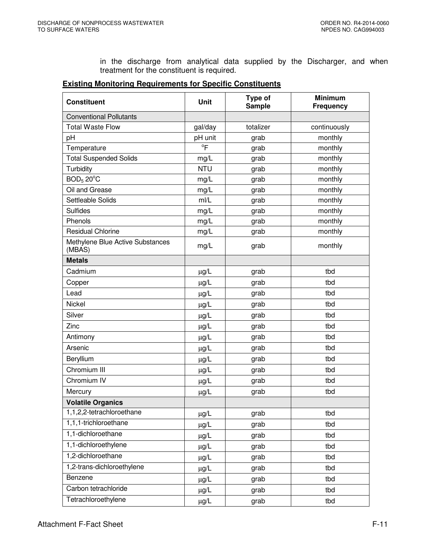in the discharge from analytical data supplied by the Discharger, and when treatment for the constituent is required.

# **Existing Monitoring Requirements for Specific Constituents**

| <b>Constituent</b>                         | Unit                 | Type of<br><b>Sample</b> | <b>Minimum</b><br><b>Frequency</b> |
|--------------------------------------------|----------------------|--------------------------|------------------------------------|
| <b>Conventional Pollutants</b>             |                      |                          |                                    |
| <b>Total Waste Flow</b>                    | gal/day              | totalizer                | continuously                       |
| pH                                         | pH unit              | grab                     | monthly                            |
| Temperature                                | $\mathrm{P}^{\circ}$ | grab                     | monthly                            |
| <b>Total Suspended Solids</b>              | mg/L                 | grab                     | monthly                            |
| Turbidity                                  | <b>NTU</b>           | grab                     | monthly                            |
| BOD <sub>5</sub> 20 <sup>°</sup> C         | mg/L                 | grab                     | monthly                            |
| Oil and Grease                             | mg/L                 | grab                     | monthly                            |
| Settleable Solids                          | mI/L                 | grab                     | monthly                            |
| <b>Sulfides</b>                            | mg/L                 | grab                     | monthly                            |
| Phenols                                    | mg/L                 | grab                     | monthly                            |
| <b>Residual Chlorine</b>                   | mg/L                 | grab                     | monthly                            |
| Methylene Blue Active Substances<br>(MBAS) | mg/L                 | grab                     | monthly                            |
| <b>Metals</b>                              |                      |                          |                                    |
| Cadmium                                    | $\mu$ g/L            | grab                     | tbd                                |
| Copper                                     | $\mu g/L$            | grab                     | tbd                                |
| Lead                                       | $\mu$ g/L            | grab                     | tbd                                |
| Nickel                                     | $\mu$ g/L            | grab                     | tbd                                |
| Silver                                     | $\mu$ g/L            | grab                     | tbd                                |
| Zinc                                       | $\mu$ g/L            | grab                     | tbd                                |
| Antimony                                   | $\mu$ g/L            | grab                     | tbd                                |
| Arsenic                                    | $\mu$ g/L            | grab                     | tbd                                |
| Beryllium                                  | $\mu$ g/L            | grab                     | tbd                                |
| Chromium III                               | $\mu$ g/L            | grab                     | tbd                                |
| Chromium IV                                | $\mu$ g/L            | grab                     | tbd                                |
| Mercury                                    | $\mu$ g/L            | grab                     | tbd                                |
| <b>Volatile Organics</b>                   |                      |                          |                                    |
| 1,1,2,2-tetrachloroethane                  | $\mu$ g/L            | grab                     | tbd                                |
| 1,1,1-trichloroethane                      | $\mu$ g/L            | grab                     | tbd                                |
| 1,1-dichloroethane                         | $\mu$ g/L            | grab                     | tbd                                |
| 1,1-dichloroethylene                       | µg/L                 | grab                     | tbd                                |
| 1,2-dichloroethane                         | $\mu$ g/L            | grab                     | tbd                                |
| 1,2-trans-dichloroethylene                 | $\mu$ g/L            | grab                     | tbd                                |
| Benzene                                    | µg/L                 | grab                     | tbd                                |
| Carbon tetrachloride                       | µg/L                 | grab                     | tbd                                |
| Tetrachloroethylene                        | $\mu$ g/L            | grab                     | tbd                                |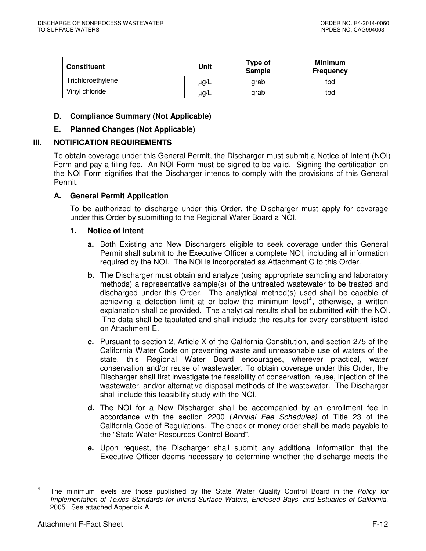| <b>Constituent</b> | Unit      | Type of<br>Sample | <b>Minimum</b><br><b>Frequency</b> |  |
|--------------------|-----------|-------------------|------------------------------------|--|
| Trichloroethylene  | $\mu$ g/L | grab              | tbd                                |  |
| Vinyl chloride     | $\mu$ g/L | qrab              | tbd                                |  |

# **D. Compliance Summary (Not Applicable)**

# **E. Planned Changes (Not Applicable)**

# **III. NOTIFICATION REQUIREMENTS**

To obtain coverage under this General Permit, the Discharger must submit a Notice of Intent (NOI) Form and pay a filing fee. An NOI Form must be signed to be valid. Signing the certification on the NOI Form signifies that the Discharger intends to comply with the provisions of this General Permit.

# **A. General Permit Application**

To be authorized to discharge under this Order, the Discharger must apply for coverage under this Order by submitting to the Regional Water Board a NOI.

#### **1. Notice of Intent**

- **a.** Both Existing and New Dischargers eligible to seek coverage under this General Permit shall submit to the Executive Officer a complete NOI, including all information required by the NOI. The NOI is incorporated as Attachment C to this Order.
- **b.** The Discharger must obtain and analyze (using appropriate sampling and laboratory methods) a representative sample(s) of the untreated wastewater to be treated and discharged under this Order. The analytical method(s) used shall be capable of achieving a detection limit at or below the minimum level<sup>4</sup>, otherwise, a written explanation shall be provided. The analytical results shall be submitted with the NOI. The data shall be tabulated and shall include the results for every constituent listed on Attachment E.
- **c.** Pursuant to section 2, Article X of the California Constitution, and section 275 of the California Water Code on preventing waste and unreasonable use of waters of the state, this Regional Water Board encourages, wherever practical, water conservation and/or reuse of wastewater. To obtain coverage under this Order, the Discharger shall first investigate the feasibility of conservation, reuse, injection of the wastewater, and/or alternative disposal methods of the wastewater. The Discharger shall include this feasibility study with the NOI.
- **d.** The NOI for a New Discharger shall be accompanied by an enrollment fee in accordance with the section 2200 (Annual Fee Schedules) of Title 23 of the California Code of Regulations. The check or money order shall be made payable to the "State Water Resources Control Board".
- **e.** Upon request, the Discharger shall submit any additional information that the Executive Officer deems necessary to determine whether the discharge meets the

-

<sup>4</sup> The minimum levels are those published by the State Water Quality Control Board in the Policy for Implementation of Toxics Standards for Inland Surface Waters, Enclosed Bays, and Estuaries of California, 2005. See attached Appendix A.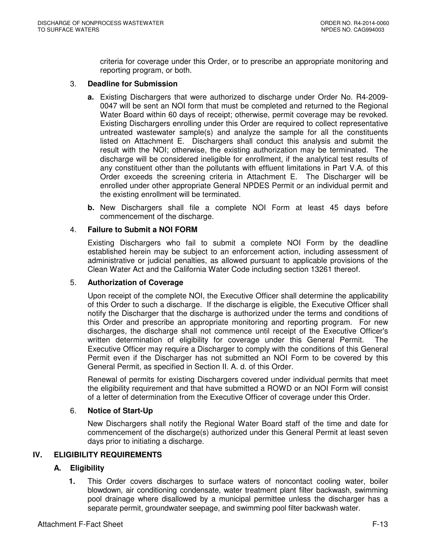criteria for coverage under this Order, or to prescribe an appropriate monitoring and reporting program, or both.

## 3. **Deadline for Submission**

- **a.** Existing Dischargers that were authorized to discharge under Order No. R4-2009- 0047 will be sent an NOI form that must be completed and returned to the Regional Water Board within 60 days of receipt; otherwise, permit coverage may be revoked. Existing Dischargers enrolling under this Order are required to collect representative untreated wastewater sample(s) and analyze the sample for all the constituents listed on Attachment E. Dischargers shall conduct this analysis and submit the result with the NOI; otherwise, the existing authorization may be terminated. The discharge will be considered ineligible for enrollment, if the analytical test results of any constituent other than the pollutants with effluent limitations in Part V.A. of this Order exceeds the screening criteria in Attachment E. The Discharger will be enrolled under other appropriate General NPDES Permit or an individual permit and the existing enrollment will be terminated.
- **b.** New Dischargers shall file a complete NOI Form at least 45 days before commencement of the discharge.

# 4. **Failure to Submit a NOI FORM**

Existing Dischargers who fail to submit a complete NOI Form by the deadline established herein may be subject to an enforcement action, including assessment of administrative or judicial penalties, as allowed pursuant to applicable provisions of the Clean Water Act and the California Water Code including section 13261 thereof.

#### 5. **Authorization of Coverage**

Upon receipt of the complete NOI, the Executive Officer shall determine the applicability of this Order to such a discharge. If the discharge is eligible, the Executive Officer shall notify the Discharger that the discharge is authorized under the terms and conditions of this Order and prescribe an appropriate monitoring and reporting program. For new discharges, the discharge shall not commence until receipt of the Executive Officer's written determination of eligibility for coverage under this General Permit. The Executive Officer may require a Discharger to comply with the conditions of this General Permit even if the Discharger has not submitted an NOI Form to be covered by this General Permit, as specified in Section II. A. d. of this Order.

Renewal of permits for existing Dischargers covered under individual permits that meet the eligibility requirement and that have submitted a ROWD or an NOI Form will consist of a letter of determination from the Executive Officer of coverage under this Order.

#### 6. **Notice of Start-Up**

New Dischargers shall notify the Regional Water Board staff of the time and date for commencement of the discharge(s) authorized under this General Permit at least seven days prior to initiating a discharge.

# **IV. ELIGIBILITY REQUIREMENTS**

# **A. Eligibility**

**1.** This Order covers discharges to surface waters of noncontact cooling water, boiler blowdown, air conditioning condensate, water treatment plant filter backwash, swimming pool drainage where disallowed by a municipal permittee unless the discharger has a separate permit, groundwater seepage, and swimming pool filter backwash water.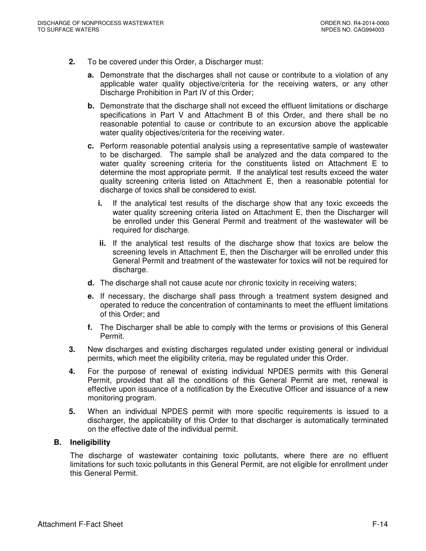- **2.** To be covered under this Order, a Discharger must:
	- **a.** Demonstrate that the discharges shall not cause or contribute to a violation of any applicable water quality objective/criteria for the receiving waters, or any other Discharge Prohibition in Part IV of this Order;
	- **b.** Demonstrate that the discharge shall not exceed the effluent limitations or discharge specifications in Part V and Attachment B of this Order, and there shall be no reasonable potential to cause or contribute to an excursion above the applicable water quality objectives/criteria for the receiving water.
	- **c.** Perform reasonable potential analysis using a representative sample of wastewater to be discharged. The sample shall be analyzed and the data compared to the water quality screening criteria for the constituents listed on Attachment E to determine the most appropriate permit. If the analytical test results exceed the water quality screening criteria listed on Attachment E, then a reasonable potential for discharge of toxics shall be considered to exist.
		- **i.** If the analytical test results of the discharge show that any toxic exceeds the water quality screening criteria listed on Attachment E, then the Discharger will be enrolled under this General Permit and treatment of the wastewater will be required for discharge.
		- **ii.** If the analytical test results of the discharge show that toxics are below the screening levels in Attachment E, then the Discharger will be enrolled under this General Permit and treatment of the wastewater for toxics will not be required for discharge.
	- **d.** The discharge shall not cause acute nor chronic toxicity in receiving waters;
	- **e.** If necessary, the discharge shall pass through a treatment system designed and operated to reduce the concentration of contaminants to meet the effluent limitations of this Order; and
	- **f.** The Discharger shall be able to comply with the terms or provisions of this General Permit.
- **3.** New discharges and existing discharges regulated under existing general or individual permits, which meet the eligibility criteria, may be regulated under this Order.
- **4.** For the purpose of renewal of existing individual NPDES permits with this General Permit, provided that all the conditions of this General Permit are met, renewal is effective upon issuance of a notification by the Executive Officer and issuance of a new monitoring program.
- **5.** When an individual NPDES permit with more specific requirements is issued to a discharger, the applicability of this Order to that discharger is automatically terminated on the effective date of the individual permit.

# **B. Ineligibility**

The discharge of wastewater containing toxic pollutants, where there are no effluent limitations for such toxic pollutants in this General Permit, are not eligible for enrollment under this General Permit.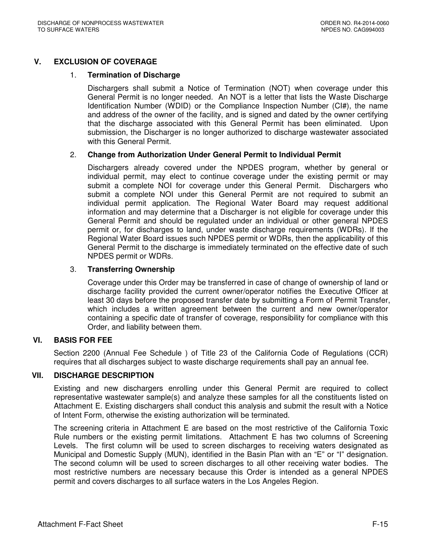# **V. EXCLUSION OF COVERAGE**

## 1. **Termination of Discharge**

Dischargers shall submit a Notice of Termination (NOT) when coverage under this General Permit is no longer needed. An NOT is a letter that lists the Waste Discharge Identification Number (WDID) or the Compliance Inspection Number (CI#), the name and address of the owner of the facility, and is signed and dated by the owner certifying that the discharge associated with this General Permit has been eliminated. Upon submission, the Discharger is no longer authorized to discharge wastewater associated with this General Permit.

## 2. **Change from Authorization Under General Permit to Individual Permit**

Dischargers already covered under the NPDES program, whether by general or individual permit, may elect to continue coverage under the existing permit or may submit a complete NOI for coverage under this General Permit. Dischargers who submit a complete NOI under this General Permit are not required to submit an individual permit application. The Regional Water Board may request additional information and may determine that a Discharger is not eligible for coverage under this General Permit and should be regulated under an individual or other general NPDES permit or, for discharges to land, under waste discharge requirements (WDRs). If the Regional Water Board issues such NPDES permit or WDRs, then the applicability of this General Permit to the discharge is immediately terminated on the effective date of such NPDES permit or WDRs.

## 3. **Transferring Ownership**

Coverage under this Order may be transferred in case of change of ownership of land or discharge facility provided the current owner/operator notifies the Executive Officer at least 30 days before the proposed transfer date by submitting a Form of Permit Transfer, which includes a written agreement between the current and new owner/operator containing a specific date of transfer of coverage, responsibility for compliance with this Order, and liability between them.

# **VI. BASIS FOR FEE**

Section 2200 (Annual Fee Schedule ) of Title 23 of the California Code of Regulations (CCR) requires that all discharges subject to waste discharge requirements shall pay an annual fee.

#### **VII. DISCHARGE DESCRIPTION**

Existing and new dischargers enrolling under this General Permit are required to collect representative wastewater sample(s) and analyze these samples for all the constituents listed on Attachment E. Existing dischargers shall conduct this analysis and submit the result with a Notice of Intent Form, otherwise the existing authorization will be terminated.

The screening criteria in Attachment E are based on the most restrictive of the California Toxic Rule numbers or the existing permit limitations. Attachment E has two columns of Screening Levels. The first column will be used to screen discharges to receiving waters designated as Municipal and Domestic Supply (MUN), identified in the Basin Plan with an "E" or "I" designation. The second column will be used to screen discharges to all other receiving water bodies. The most restrictive numbers are necessary because this Order is intended as a general NPDES permit and covers discharges to all surface waters in the Los Angeles Region.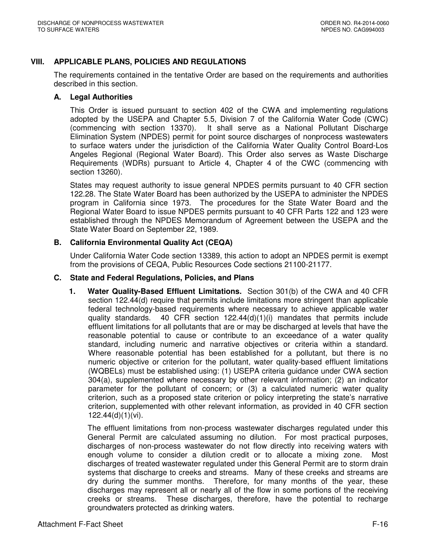# **VIII. APPLICABLE PLANS, POLICIES AND REGULATIONS**

The requirements contained in the tentative Order are based on the requirements and authorities described in this section.

#### **A. Legal Authorities**

This Order is issued pursuant to section 402 of the CWA and implementing regulations adopted by the USEPA and Chapter 5.5, Division 7 of the California Water Code (CWC) (commencing with section 13370). It shall serve as a National Pollutant Discharge Elimination System (NPDES) permit for point source discharges of nonprocess wastewaters to surface waters under the jurisdiction of the California Water Quality Control Board-Los Angeles Regional (Regional Water Board). This Order also serves as Waste Discharge Requirements (WDRs) pursuant to Article 4, Chapter 4 of the CWC (commencing with section 13260).

States may request authority to issue general NPDES permits pursuant to 40 CFR section 122.28. The State Water Board has been authorized by the USEPA to administer the NPDES program in California since 1973. The procedures for the State Water Board and the Regional Water Board to issue NPDES permits pursuant to 40 CFR Parts 122 and 123 were established through the NPDES Memorandum of Agreement between the USEPA and the State Water Board on September 22, 1989.

#### **B. California Environmental Quality Act (CEQA)**

Under California Water Code section 13389, this action to adopt an NPDES permit is exempt from the provisions of CEQA, Public Resources Code sections 21100-21177.

#### **C. State and Federal Regulations, Policies, and Plans**

**1. Water Quality-Based Effluent Limitations.** Section 301(b) of the CWA and 40 CFR section 122.44(d) require that permits include limitations more stringent than applicable federal technology-based requirements where necessary to achieve applicable water quality standards. 40 CFR section 122.44(d)(1)(i) mandates that permits include effluent limitations for all pollutants that are or may be discharged at levels that have the reasonable potential to cause or contribute to an exceedance of a water quality standard, including numeric and narrative objectives or criteria within a standard. Where reasonable potential has been established for a pollutant, but there is no numeric objective or criterion for the pollutant, water quality-based effluent limitations (WQBELs) must be established using: (1) USEPA criteria guidance under CWA section 304(a), supplemented where necessary by other relevant information; (2) an indicator parameter for the pollutant of concern; or (3) a calculated numeric water quality criterion, such as a proposed state criterion or policy interpreting the state's narrative criterion, supplemented with other relevant information, as provided in 40 CFR section 122.44(d)(1)(vi).

The effluent limitations from non-process wastewater discharges regulated under this General Permit are calculated assuming no dilution. For most practical purposes, discharges of non-process wastewater do not flow directly into receiving waters with enough volume to consider a dilution credit or to allocate a mixing zone. Most discharges of treated wastewater regulated under this General Permit are to storm drain systems that discharge to creeks and streams. Many of these creeks and streams are dry during the summer months. Therefore, for many months of the year, these discharges may represent all or nearly all of the flow in some portions of the receiving creeks or streams. These discharges, therefore, have the potential to recharge groundwaters protected as drinking waters.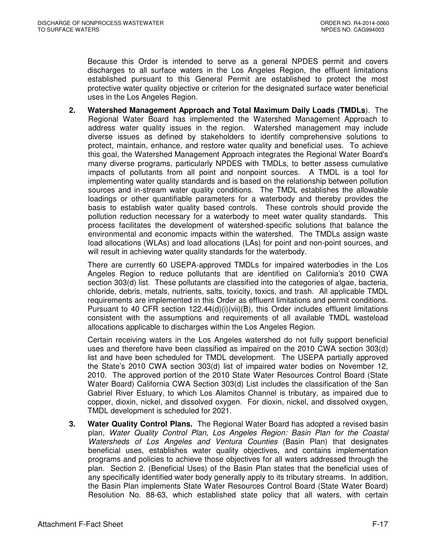Because this Order is intended to serve as a general NPDES permit and covers discharges to all surface waters in the Los Angeles Region, the effluent limitations established pursuant to this General Permit are established to protect the most protective water quality objective or criterion for the designated surface water beneficial uses in the Los Angeles Region.

**2. Watershed Management Approach and Total Maximum Daily Loads (TMDLs**). The Regional Water Board has implemented the Watershed Management Approach to address water quality issues in the region. Watershed management may include diverse issues as defined by stakeholders to identify comprehensive solutions to protect, maintain, enhance, and restore water quality and beneficial uses. To achieve this goal, the Watershed Management Approach integrates the Regional Water Board's many diverse programs, particularly NPDES with TMDLs, to better assess cumulative impacts of pollutants from all point and nonpoint sources. A TMDL is a tool for implementing water quality standards and is based on the relationship between pollution sources and in-stream water quality conditions. The TMDL establishes the allowable loadings or other quantifiable parameters for a waterbody and thereby provides the basis to establish water quality based controls. These controls should provide the pollution reduction necessary for a waterbody to meet water quality standards. This process facilitates the development of watershed-specific solutions that balance the environmental and economic impacts within the watershed. The TMDLs assign waste load allocations (WLAs) and load allocations (LAs) for point and non-point sources, and will result in achieving water quality standards for the waterbody.

There are currently 60 USEPA-approved TMDLs for impaired waterbodies in the Los Angeles Region to reduce pollutants that are identified on California's 2010 CWA section 303(d) list. These pollutants are classified into the categories of algae, bacteria, chloride, debris, metals, nutrients, salts, toxicity, toxics, and trash. All applicable TMDL requirements are implemented in this Order as effluent limitations and permit conditions. Pursuant to 40 CFR section 122.44(d)(i)(vii)(B), this Order includes effluent limitations consistent with the assumptions and requirements of all available TMDL wasteload allocations applicable to discharges within the Los Angeles Region.

Certain receiving waters in the Los Angeles watershed do not fully support beneficial uses and therefore have been classified as impaired on the 2010 CWA section 303(d) list and have been scheduled for TMDL development. The USEPA partially approved the State's 2010 CWA section 303(d) list of impaired water bodies on November 12, 2010. The approved portion of the 2010 State Water Resources Control Board (State Water Board) California CWA Section 303(d) List includes the classification of the San Gabriel River Estuary, to which Los Alamitos Channel is tributary, as impaired due to copper, dioxin, nickel, and dissolved oxygen. For dioxin, nickel, and dissolved oxygen, TMDL development is scheduled for 2021.

**3. Water Quality Control Plans.** The Regional Water Board has adopted a revised basin plan, Water Quality Control Plan, Los Angeles Region: Basin Plan for the Coastal Watersheds of Los Angeles and Ventura Counties (Basin Plan) that designates beneficial uses, establishes water quality objectives, and contains implementation programs and policies to achieve those objectives for all waters addressed through the plan. Section 2. (Beneficial Uses) of the Basin Plan states that the beneficial uses of any specifically identified water body generally apply to its tributary streams. In addition, the Basin Plan implements State Water Resources Control Board (State Water Board) Resolution No. 88-63, which established state policy that all waters, with certain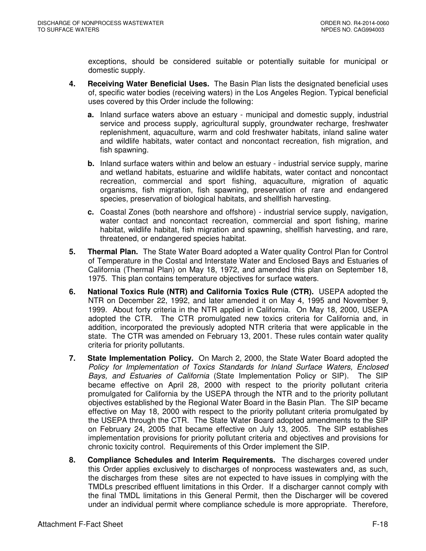exceptions, should be considered suitable or potentially suitable for municipal or domestic supply.

- **4. Receiving Water Beneficial Uses.** The Basin Plan lists the designated beneficial uses of, specific water bodies (receiving waters) in the Los Angeles Region. Typical beneficial uses covered by this Order include the following:
	- **a.** Inland surface waters above an estuary municipal and domestic supply, industrial service and process supply, agricultural supply, groundwater recharge, freshwater replenishment, aquaculture, warm and cold freshwater habitats, inland saline water and wildlife habitats, water contact and noncontact recreation, fish migration, and fish spawning.
	- **b.** Inland surface waters within and below an estuary industrial service supply, marine and wetland habitats, estuarine and wildlife habitats, water contact and noncontact recreation, commercial and sport fishing, aquaculture, migration of aquatic organisms, fish migration, fish spawning, preservation of rare and endangered species, preservation of biological habitats, and shellfish harvesting.
	- **c.** Coastal Zones (both nearshore and offshore) industrial service supply, navigation, water contact and noncontact recreation, commercial and sport fishing, marine habitat, wildlife habitat, fish migration and spawning, shellfish harvesting, and rare, threatened, or endangered species habitat.
- **5. Thermal Plan.** The State Water Board adopted a Water quality Control Plan for Control of Temperature in the Costal and Interstate Water and Enclosed Bays and Estuaries of California (Thermal Plan) on May 18, 1972, and amended this plan on September 18, 1975. This plan contains temperature objectives for surface waters.
- **6. National Toxics Rule (NTR) and California Toxics Rule (CTR).** USEPA adopted the NTR on December 22, 1992, and later amended it on May 4, 1995 and November 9, 1999. About forty criteria in the NTR applied in California. On May 18, 2000, USEPA adopted the CTR. The CTR promulgated new toxics criteria for California and, in addition, incorporated the previously adopted NTR criteria that were applicable in the state. The CTR was amended on February 13, 2001. These rules contain water quality criteria for priority pollutants.
- **7. State Implementation Policy.** On March 2, 2000, the State Water Board adopted the Policy for Implementation of Toxics Standards for Inland Surface Waters, Enclosed Bays, and Estuaries of California (State Implementation Policy or SIP). The SIP became effective on April 28, 2000 with respect to the priority pollutant criteria promulgated for California by the USEPA through the NTR and to the priority pollutant objectives established by the Regional Water Board in the Basin Plan. The SIP became effective on May 18, 2000 with respect to the priority pollutant criteria promulgated by the USEPA through the CTR. The State Water Board adopted amendments to the SIP on February 24, 2005 that became effective on July 13, 2005. The SIP establishes implementation provisions for priority pollutant criteria and objectives and provisions for chronic toxicity control. Requirements of this Order implement the SIP.
- **8. Compliance Schedules and Interim Requirements.** The discharges covered under this Order applies exclusively to discharges of nonprocess wastewaters and, as such, the discharges from these sites are not expected to have issues in complying with the TMDLs prescribed effluent limitations in this Order. If a discharger cannot comply with the final TMDL limitations in this General Permit, then the Discharger will be covered under an individual permit where compliance schedule is more appropriate. Therefore,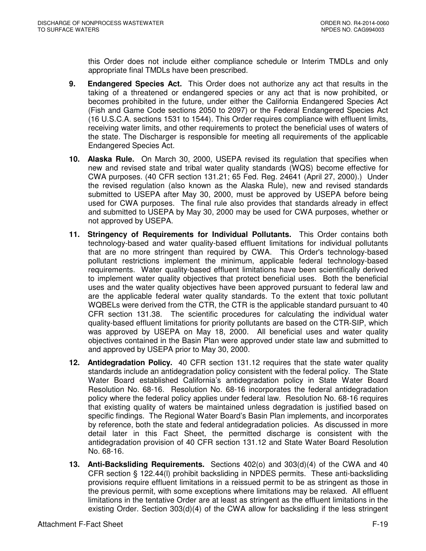this Order does not include either compliance schedule or Interim TMDLs and only appropriate final TMDLs have been prescribed.

- **9. Endangered Species Act.** This Order does not authorize any act that results in the taking of a threatened or endangered species or any act that is now prohibited, or becomes prohibited in the future, under either the California Endangered Species Act (Fish and Game Code sections 2050 to 2097) or the Federal Endangered Species Act (16 U.S.C.A. sections 1531 to 1544). This Order requires compliance with effluent limits, receiving water limits, and other requirements to protect the beneficial uses of waters of the state. The Discharger is responsible for meeting all requirements of the applicable Endangered Species Act.
- **10. Alaska Rule.** On March 30, 2000, USEPA revised its regulation that specifies when new and revised state and tribal water quality standards (WQS) become effective for CWA purposes. (40 CFR section 131.21; 65 Fed. Reg. 24641 (April 27, 2000).) Under the revised regulation (also known as the Alaska Rule), new and revised standards submitted to USEPA after May 30, 2000, must be approved by USEPA before being used for CWA purposes. The final rule also provides that standards already in effect and submitted to USEPA by May 30, 2000 may be used for CWA purposes, whether or not approved by USEPA.
- **11. Stringency of Requirements for Individual Pollutants.** This Order contains both technology-based and water quality-based effluent limitations for individual pollutants that are no more stringent than required by CWA. This Order's technology-based pollutant restrictions implement the minimum, applicable federal technology-based requirements. Water quality-based effluent limitations have been scientifically derived to implement water quality objectives that protect beneficial uses. Both the beneficial uses and the water quality objectives have been approved pursuant to federal law and are the applicable federal water quality standards. To the extent that toxic pollutant WQBELs were derived from the CTR, the CTR is the applicable standard pursuant to 40 CFR section 131.38. The scientific procedures for calculating the individual water quality-based effluent limitations for priority pollutants are based on the CTR-SIP, which was approved by USEPA on May 18, 2000. All beneficial uses and water quality objectives contained in the Basin Plan were approved under state law and submitted to and approved by USEPA prior to May 30, 2000.
- **12. Antidegradation Policy.** 40 CFR section 131.12 requires that the state water quality standards include an antidegradation policy consistent with the federal policy. The State Water Board established California's antidegradation policy in State Water Board Resolution No. 68-16. Resolution No. 68-16 incorporates the federal antidegradation policy where the federal policy applies under federal law. Resolution No. 68-16 requires that existing quality of waters be maintained unless degradation is justified based on specific findings. The Regional Water Board's Basin Plan implements, and incorporates by reference, both the state and federal antidegradation policies. As discussed in more detail later in this Fact Sheet, the permitted discharge is consistent with the antidegradation provision of 40 CFR section 131.12 and State Water Board Resolution No. 68-16.
- **13. Anti-Backsliding Requirements.** Sections 402(o) and 303(d)(4) of the CWA and 40 CFR section § 122.44(l) prohibit backsliding in NPDES permits. These anti-backsliding provisions require effluent limitations in a reissued permit to be as stringent as those in the previous permit, with some exceptions where limitations may be relaxed. All effluent limitations in the tentative Order are at least as stringent as the effluent limitations in the existing Order. Section 303(d)(4) of the CWA allow for backsliding if the less stringent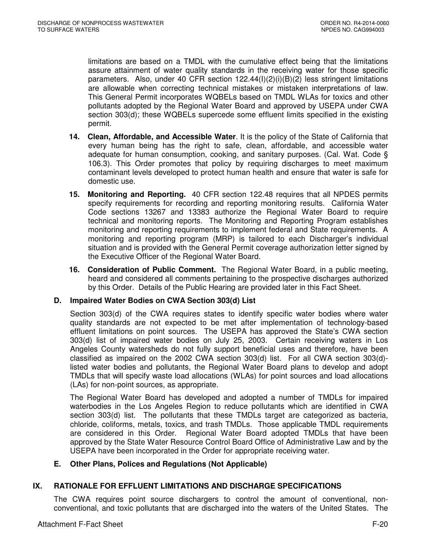limitations are based on a TMDL with the cumulative effect being that the limitations assure attainment of water quality standards in the receiving water for those specific parameters. Also, under 40 CFR section  $122.44(1)(2)(i)(B)(2)$  less stringent limitations are allowable when correcting technical mistakes or mistaken interpretations of law. This General Permit incorporates WQBELs based on TMDL WLAs for toxics and other pollutants adopted by the Regional Water Board and approved by USEPA under CWA section 303(d); these WQBELs supercede some effluent limits specified in the existing permit.

- **14. Clean, Affordable, and Accessible Water**. It is the policy of the State of California that every human being has the right to safe, clean, affordable, and accessible water adequate for human consumption, cooking, and sanitary purposes. (Cal. Wat. Code § 106.3). This Order promotes that policy by requiring discharges to meet maximum contaminant levels developed to protect human health and ensure that water is safe for domestic use.
- **15. Monitoring and Reporting.** 40 CFR section 122.48 requires that all NPDES permits specify requirements for recording and reporting monitoring results. California Water Code sections 13267 and 13383 authorize the Regional Water Board to require technical and monitoring reports. The Monitoring and Reporting Program establishes monitoring and reporting requirements to implement federal and State requirements. A monitoring and reporting program (MRP) is tailored to each Discharger's individual situation and is provided with the General Permit coverage authorization letter signed by the Executive Officer of the Regional Water Board.
- **16. Consideration of Public Comment.** The Regional Water Board, in a public meeting, heard and considered all comments pertaining to the prospective discharges authorized by this Order. Details of the Public Hearing are provided later in this Fact Sheet.

# **D. Impaired Water Bodies on CWA Section 303(d) List**

Section 303(d) of the CWA requires states to identify specific water bodies where water quality standards are not expected to be met after implementation of technology-based effluent limitations on point sources. The USEPA has approved the State's CWA section 303(d) list of impaired water bodies on July 25, 2003. Certain receiving waters in Los Angeles County watersheds do not fully support beneficial uses and therefore, have been classified as impaired on the 2002 CWA section 303(d) list. For all CWA section 303(d) listed water bodies and pollutants, the Regional Water Board plans to develop and adopt TMDLs that will specify waste load allocations (WLAs) for point sources and load allocations (LAs) for non-point sources, as appropriate.

The Regional Water Board has developed and adopted a number of TMDLs for impaired waterbodies in the Los Angeles Region to reduce pollutants which are identified in CWA section 303(d) list. The pollutants that these TMDLs target are categorized as bacteria, chloride, coliforms, metals, toxics, and trash TMDLs. Those applicable TMDL requirements are considered in this Order. Regional Water Board adopted TMDLs that have been approved by the State Water Resource Control Board Office of Administrative Law and by the USEPA have been incorporated in the Order for appropriate receiving water.

#### **E. Other Plans, Polices and Regulations (Not Applicable)**

# **IX. RATIONALE FOR EFFLUENT LIMITATIONS AND DISCHARGE SPECIFICATIONS**

The CWA requires point source dischargers to control the amount of conventional, nonconventional, and toxic pollutants that are discharged into the waters of the United States. The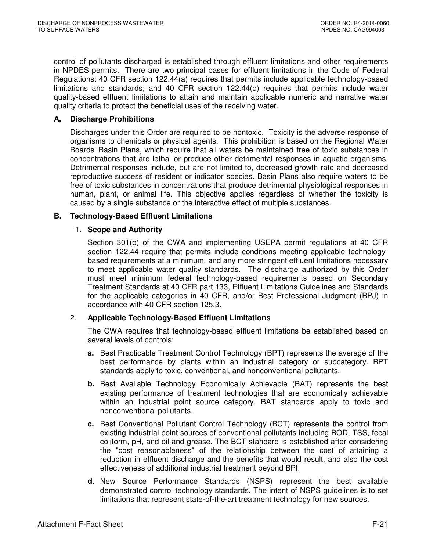control of pollutants discharged is established through effluent limitations and other requirements in NPDES permits. There are two principal bases for effluent limitations in the Code of Federal Regulations: 40 CFR section 122.44(a) requires that permits include applicable technology-based limitations and standards; and 40 CFR section 122.44(d) requires that permits include water quality-based effluent limitations to attain and maintain applicable numeric and narrative water quality criteria to protect the beneficial uses of the receiving water.

# **A. Discharge Prohibitions**

Discharges under this Order are required to be nontoxic. Toxicity is the adverse response of organisms to chemicals or physical agents. This prohibition is based on the Regional Water Boards' Basin Plans, which require that all waters be maintained free of toxic substances in concentrations that are lethal or produce other detrimental responses in aquatic organisms. Detrimental responses include, but are not limited to, decreased growth rate and decreased reproductive success of resident or indicator species. Basin Plans also require waters to be free of toxic substances in concentrations that produce detrimental physiological responses in human, plant, or animal life. This objective applies regardless of whether the toxicity is caused by a single substance or the interactive effect of multiple substances.

# **B. Technology-Based Effluent Limitations**

# 1. **Scope and Authority**

Section 301(b) of the CWA and implementing USEPA permit regulations at 40 CFR section 122.44 require that permits include conditions meeting applicable technologybased requirements at a minimum, and any more stringent effluent limitations necessary to meet applicable water quality standards. The discharge authorized by this Order must meet minimum federal technology-based requirements based on Secondary Treatment Standards at 40 CFR part 133, Effluent Limitations Guidelines and Standards for the applicable categories in 40 CFR, and/or Best Professional Judgment (BPJ) in accordance with 40 CFR section 125.3.

# 2. **Applicable Technology-Based Effluent Limitations**

The CWA requires that technology-based effluent limitations be established based on several levels of controls:

- **a.** Best Practicable Treatment Control Technology (BPT) represents the average of the best performance by plants within an industrial category or subcategory. BPT standards apply to toxic, conventional, and nonconventional pollutants.
- **b.** Best Available Technology Economically Achievable (BAT) represents the best existing performance of treatment technologies that are economically achievable within an industrial point source category. BAT standards apply to toxic and nonconventional pollutants.
- **c.** Best Conventional Pollutant Control Technology (BCT) represents the control from existing industrial point sources of conventional pollutants including BOD, TSS, fecal coliform, pH, and oil and grease. The BCT standard is established after considering the "cost reasonableness" of the relationship between the cost of attaining a reduction in effluent discharge and the benefits that would result, and also the cost effectiveness of additional industrial treatment beyond BPI.
- **d.** New Source Performance Standards (NSPS) represent the best available demonstrated control technology standards. The intent of NSPS guidelines is to set limitations that represent state-of-the-art treatment technology for new sources.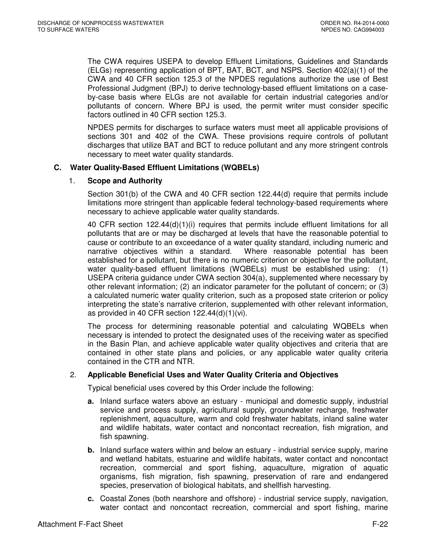The CWA requires USEPA to develop Effluent Limitations, Guidelines and Standards (ELGs) representing application of BPT, BAT, BCT, and NSPS. Section 402(a)(1) of the CWA and 40 CFR section 125.3 of the NPDES regulations authorize the use of Best Professional Judgment (BPJ) to derive technology-based effluent limitations on a caseby-case basis where ELGs are not available for certain industrial categories and/or pollutants of concern. Where BPJ is used, the permit writer must consider specific factors outlined in 40 CFR section 125.3.

NPDES permits for discharges to surface waters must meet all applicable provisions of sections 301 and 402 of the CWA. These provisions require controls of pollutant discharges that utilize BAT and BCT to reduce pollutant and any more stringent controls necessary to meet water quality standards.

## **C. Water Quality-Based Effluent Limitations (WQBELs)**

## 1. **Scope and Authority**

Section 301(b) of the CWA and 40 CFR section 122.44(d) require that permits include limitations more stringent than applicable federal technology-based requirements where necessary to achieve applicable water quality standards.

40 CFR section 122.44(d)(1)(i) requires that permits include effluent limitations for all pollutants that are or may be discharged at levels that have the reasonable potential to cause or contribute to an exceedance of a water quality standard, including numeric and narrative objectives within a standard. Where reasonable potential has been established for a pollutant, but there is no numeric criterion or objective for the pollutant, water quality-based effluent limitations (WQBELs) must be established using: (1) USEPA criteria guidance under CWA section 304(a), supplemented where necessary by other relevant information; (2) an indicator parameter for the pollutant of concern; or (3) a calculated numeric water quality criterion, such as a proposed state criterion or policy interpreting the state's narrative criterion, supplemented with other relevant information, as provided in 40 CFR section 122.44(d)(1)(vi).

The process for determining reasonable potential and calculating WQBELs when necessary is intended to protect the designated uses of the receiving water as specified in the Basin Plan, and achieve applicable water quality objectives and criteria that are contained in other state plans and policies, or any applicable water quality criteria contained in the CTR and NTR.

# 2. **Applicable Beneficial Uses and Water Quality Criteria and Objectives**

Typical beneficial uses covered by this Order include the following:

- **a.** Inland surface waters above an estuary municipal and domestic supply, industrial service and process supply, agricultural supply, groundwater recharge, freshwater replenishment, aquaculture, warm and cold freshwater habitats, inland saline water and wildlife habitats, water contact and noncontact recreation, fish migration, and fish spawning.
- **b.** Inland surface waters within and below an estuary industrial service supply, marine and wetland habitats, estuarine and wildlife habitats, water contact and noncontact recreation, commercial and sport fishing, aquaculture, migration of aquatic organisms, fish migration, fish spawning, preservation of rare and endangered species, preservation of biological habitats, and shellfish harvesting.
- **c.** Coastal Zones (both nearshore and offshore) industrial service supply, navigation, water contact and noncontact recreation, commercial and sport fishing, marine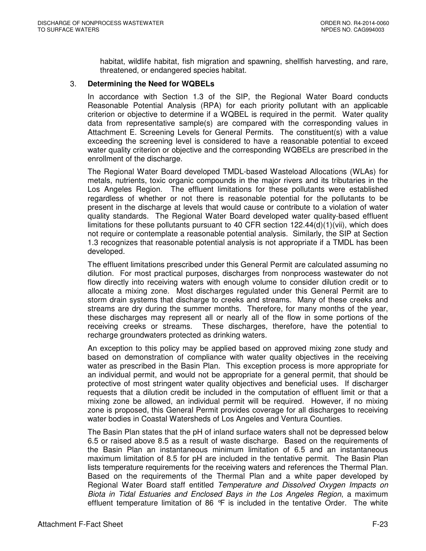habitat, wildlife habitat, fish migration and spawning, shellfish harvesting, and rare, threatened, or endangered species habitat.

## 3. **Determining the Need for WQBELs**

In accordance with Section 1.3 of the SIP, the Regional Water Board conducts Reasonable Potential Analysis (RPA) for each priority pollutant with an applicable criterion or objective to determine if a WQBEL is required in the permit. Water quality data from representative sample(s) are compared with the corresponding values in Attachment E. Screening Levels for General Permits. The constituent(s) with a value exceeding the screening level is considered to have a reasonable potential to exceed water quality criterion or objective and the corresponding WQBELs are prescribed in the enrollment of the discharge.

The Regional Water Board developed TMDL-based Wasteload Allocations (WLAs) for metals, nutrients, toxic organic compounds in the major rivers and its tributaries in the Los Angeles Region. The effluent limitations for these pollutants were established regardless of whether or not there is reasonable potential for the pollutants to be present in the discharge at levels that would cause or contribute to a violation of water quality standards. The Regional Water Board developed water quality-based effluent limitations for these pollutants pursuant to 40 CFR section  $122.44(d)(1)(vii)$ , which does not require or contemplate a reasonable potential analysis. Similarly, the SIP at Section 1.3 recognizes that reasonable potential analysis is not appropriate if a TMDL has been developed.

The effluent limitations prescribed under this General Permit are calculated assuming no dilution. For most practical purposes, discharges from nonprocess wastewater do not flow directly into receiving waters with enough volume to consider dilution credit or to allocate a mixing zone. Most discharges regulated under this General Permit are to storm drain systems that discharge to creeks and streams. Many of these creeks and streams are dry during the summer months. Therefore, for many months of the year, these discharges may represent all or nearly all of the flow in some portions of the receiving creeks or streams. These discharges, therefore, have the potential to recharge groundwaters protected as drinking waters.

An exception to this policy may be applied based on approved mixing zone study and based on demonstration of compliance with water quality objectives in the receiving water as prescribed in the Basin Plan. This exception process is more appropriate for an individual permit, and would not be appropriate for a general permit, that should be protective of most stringent water quality objectives and beneficial uses. If discharger requests that a dilution credit be included in the computation of effluent limit or that a mixing zone be allowed, an individual permit will be required. However, if no mixing zone is proposed, this General Permit provides coverage for all discharges to receiving water bodies in Coastal Watersheds of Los Angeles and Ventura Counties.

The Basin Plan states that the pH of inland surface waters shall not be depressed below 6.5 or raised above 8.5 as a result of waste discharge. Based on the requirements of the Basin Plan an instantaneous minimum limitation of 6.5 and an instantaneous maximum limitation of 8.5 for pH are included in the tentative permit. The Basin Plan lists temperature requirements for the receiving waters and references the Thermal Plan. Based on the requirements of the Thermal Plan and a white paper developed by Regional Water Board staff entitled Temperature and Dissolved Oxygen Impacts on Biota in Tidal Estuaries and Enclosed Bays in the Los Angeles Region, a maximum effluent temperature limitation of 86 °F is included in the tentative Order. The white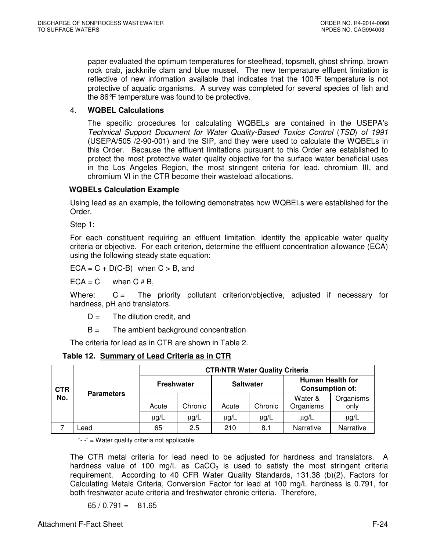paper evaluated the optimum temperatures for steelhead, topsmelt, ghost shrimp, brown rock crab, jackknife clam and blue mussel. The new temperature effluent limitation is reflective of new information available that indicates that the 100°F temperature is not protective of aquatic organisms. A survey was completed for several species of fish and the 86°F temperature was found to be protective.

## 4. **WQBEL Calculations**

The specific procedures for calculating WQBELs are contained in the USEPA's Technical Support Document for Water Quality-Based Toxics Control (TSD) of 1991 (USEPA/505 /2-90-001) and the SIP, and they were used to calculate the WQBELs in this Order. Because the effluent limitations pursuant to this Order are established to protect the most protective water quality objective for the surface water beneficial uses in the Los Angeles Region, the most stringent criteria for lead, chromium III, and chromium VI in the CTR become their wasteload allocations.

## **WQBELs Calculation Example**

Using lead as an example, the following demonstrates how WQBELs were established for the Order.

Step 1:

For each constituent requiring an effluent limitation, identify the applicable water quality criteria or objective. For each criterion, determine the effluent concentration allowance (ECA) using the following steady state equation:

 $ECA = C + D(C-B)$  when  $C > B$ , and

 $ECA = C$  when  $C \# B$ ,

Where:  $C =$  The priority pollutant criterion/objective, adjusted if necessary for hardness, pH and translators.

- $D =$  The dilution credit, and
- $B =$  The ambient background concentration

The criteria for lead as in CTR are shown in Table 2.

|  |  | Table 12. Summary of Lead Criteria as in CTR |  |
|--|--|----------------------------------------------|--|
|  |  |                                              |  |

|            |                   | <b>CTR/NTR Water Quality Criteria</b> |         |                  |           |                                                   |                   |  |  |
|------------|-------------------|---------------------------------------|---------|------------------|-----------|---------------------------------------------------|-------------------|--|--|
| <b>CTR</b> |                   | <b>Freshwater</b>                     |         | <b>Saltwater</b> |           | <b>Human Health for</b><br><b>Consumption of:</b> |                   |  |  |
| No.        | <b>Parameters</b> | Acute                                 | Chronic | Acute            | Chronic   | Water &<br>Organisms                              | Organisms<br>only |  |  |
|            |                   | $\mu$ g/L                             | μg/L    | $\mu$ g/L        | $\mu$ g/L | $\mu$ g/L                                         | $\mu$ g/L         |  |  |
|            | Lead              | 65                                    | 2.5     | 210              | 8.1       | Narrative                                         | Narrative         |  |  |

"- -" = Water quality criteria not applicable

The CTR metal criteria for lead need to be adjusted for hardness and translators. A hardness value of 100 mg/L as  $CaCO<sub>3</sub>$  is used to satisfy the most stringent criteria requirement. According to 40 CFR Water Quality Standards, 131.38 (b)(2), Factors for Calculating Metals Criteria, Conversion Factor for lead at 100 mg/L hardness is 0.791, for both freshwater acute criteria and freshwater chronic criteria. Therefore,

 $65 / 0.791 = 81.65$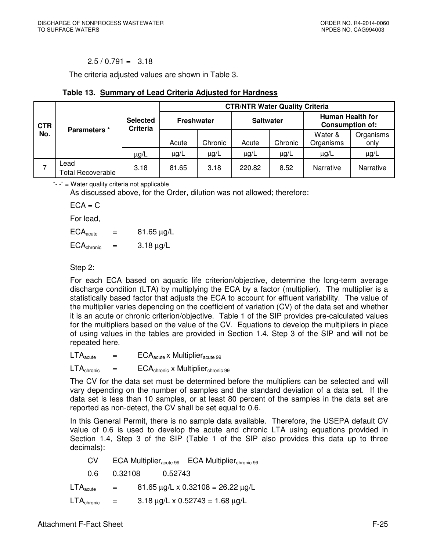## $2.5 / 0.791 = 3.18$

The criteria adjusted values are shown in Table 3.

| <b>CTR</b> |                                  |                                    | <b>CTR/NTR Water Quality Criteria</b> |           |                  |           |                                                   |                   |  |  |
|------------|----------------------------------|------------------------------------|---------------------------------------|-----------|------------------|-----------|---------------------------------------------------|-------------------|--|--|
|            |                                  | <b>Selected</b><br><b>Criteria</b> | <b>Freshwater</b>                     |           | <b>Saltwater</b> |           | <b>Human Health for</b><br><b>Consumption of:</b> |                   |  |  |
| No.        | Parameters *                     |                                    | Acute                                 | Chronic   | Acute            | Chronic   | Water &<br>Organisms                              | Organisms<br>only |  |  |
|            |                                  | $\mu$ g/L                          | $\mu$ g/L                             | $\mu$ g/L | $\mu$ g/L        | $\mu$ g/L | $\mu$ g/L                                         | $\mu$ g/L         |  |  |
|            | Lead<br><b>Total Recoverable</b> | 3.18                               | 81.65                                 | 3.18      | 220.82           | 8.52      | Narrative                                         | <b>Narrative</b>  |  |  |

# **Table 13. Summary of Lead Criteria Adjusted for Hardness**

"- -" = Water quality criteria not applicable

As discussed above, for the Order, dilution was not allowed; therefore:

 $ECA = C$ 

For lead,

 $ECA<sub>acute</sub>$  = 81.65  $\mu$ g/L

 $ECA_{\text{chronic}}$  = 3.18  $\mu$ g/L

Step 2:

For each ECA based on aquatic life criterion/objective, determine the long-term average discharge condition (LTA) by multiplying the ECA by a factor (multiplier). The multiplier is a statistically based factor that adjusts the ECA to account for effluent variability. The value of the multiplier varies depending on the coefficient of variation (CV) of the data set and whether it is an acute or chronic criterion/objective. Table 1 of the SIP provides pre-calculated values for the multipliers based on the value of the CV. Equations to develop the multipliers in place of using values in the tables are provided in Section 1.4, Step 3 of the SIP and will not be repeated here.

 $LTA<sub>acute</sub> = ECA<sub>acute</sub> \times Multiplier<sub>acute 99</sub>$ 

 $LTA_{\text{chronic}} = \text{ECA}_{\text{chronic}} \times \text{Multiplier}_{\text{chronic}}$  99

The CV for the data set must be determined before the multipliers can be selected and will vary depending on the number of samples and the standard deviation of a data set. If the data set is less than 10 samples, or at least 80 percent of the samples in the data set are reported as non-detect, the CV shall be set equal to 0.6.

In this General Permit, there is no sample data available. Therefore, the USEPA default CV value of 0.6 is used to develop the acute and chronic LTA using equations provided in Section 1.4, Step 3 of the SIP (Table 1 of the SIP also provides this data up to three decimals):

| CV                              | ECA Multiplier $_{\text{acute 99}}$ |  |         | ECA Multiplier <sub>chronic</sub> 99           |
|---------------------------------|-------------------------------------|--|---------|------------------------------------------------|
| 0.6.                            | 0.32108                             |  | 0.52743 |                                                |
| $\mathsf{LTA}_\mathsf{acute}$   | $=$ $\sim$                          |  |         | $81.65 \mu g/L \times 0.32108 = 26.22 \mu g/L$ |
| $\mathsf{LTA}_\mathsf{chronic}$ | $=$                                 |  |         | $3.18 \mu g/L \times 0.52743 = 1.68 \mu g/L$   |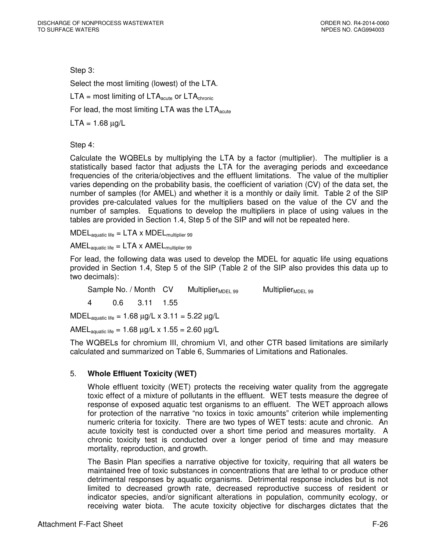Step 3:

Select the most limiting (lowest) of the LTA.

 $LTA =$  most limiting of  $LTA$ <sub>acute</sub> or  $LTA$ <sub>chronic</sub>

For lead, the most limiting LTA was the  $LTA_{acute}$ 

 $LTA = 1.68 \mu g/L$ 

Step 4:

Calculate the WQBELs by multiplying the LTA by a factor (multiplier). The multiplier is a statistically based factor that adjusts the LTA for the averaging periods and exceedance frequencies of the criteria/objectives and the effluent limitations. The value of the multiplier varies depending on the probability basis, the coefficient of variation (CV) of the data set, the number of samples (for AMEL) and whether it is a monthly or daily limit. Table 2 of the SIP provides pre-calculated values for the multipliers based on the value of the CV and the number of samples. Equations to develop the multipliers in place of using values in the tables are provided in Section 1.4, Step 5 of the SIP and will not be repeated here.

 $\text{MDEL}_{\text{aquatic life}} = \text{LTA} \times \text{MDEL}_{\text{multiplier 99}}$ 

AMEL $_{\text{aquatic life}} = \text{LTA} \times \text{AMEL}_{\text{multiplier 99}}$ 

For lead, the following data was used to develop the MDEL for aquatic life using equations provided in Section 1.4, Step 5 of the SIP (Table 2 of the SIP also provides this data up to two decimals):

Sample No. / Month  $CV$  Multiplier<sub>MDEL 99</sub> Multiplier<sub>MDEL 99</sub>

4 0.6 3.11 1.55

MDEL<sub>aquatic life</sub> = 1.68  $\mu$ g/L x 3.11 = 5.22  $\mu$ g/L

AMEL<sub>aquatic life</sub> = 1.68  $\mu$ g/L x 1.55 = 2.60  $\mu$ g/L

The WQBELs for chromium III, chromium VI, and other CTR based limitations are similarly calculated and summarized on Table 6, Summaries of Limitations and Rationales.

# 5. **Whole Effluent Toxicity (WET)**

Whole effluent toxicity (WET) protects the receiving water quality from the aggregate toxic effect of a mixture of pollutants in the effluent. WET tests measure the degree of response of exposed aquatic test organisms to an effluent. The WET approach allows for protection of the narrative "no toxics in toxic amounts" criterion while implementing numeric criteria for toxicity. There are two types of WET tests: acute and chronic. An acute toxicity test is conducted over a short time period and measures mortality. A chronic toxicity test is conducted over a longer period of time and may measure mortality, reproduction, and growth.

The Basin Plan specifies a narrative objective for toxicity, requiring that all waters be maintained free of toxic substances in concentrations that are lethal to or produce other detrimental responses by aquatic organisms. Detrimental response includes but is not limited to decreased growth rate, decreased reproductive success of resident or indicator species, and/or significant alterations in population, community ecology, or receiving water biota. The acute toxicity objective for discharges dictates that the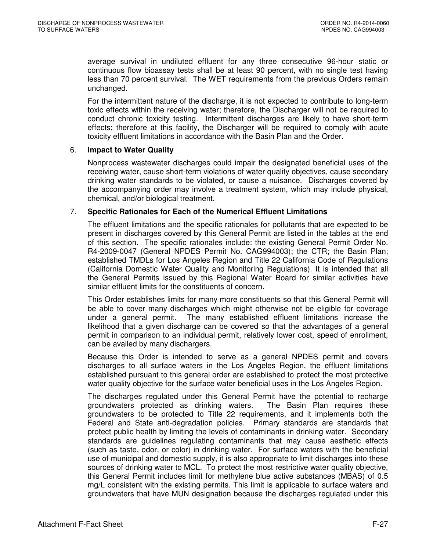average survival in undiluted effluent for any three consecutive 96-hour static or continuous flow bioassay tests shall be at least 90 percent, with no single test having less than 70 percent survival. The WET requirements from the previous Orders remain unchanged.

For the intermittent nature of the discharge, it is not expected to contribute to long-term toxic effects within the receiving water; therefore, the Discharger will not be required to conduct chronic toxicity testing. Intermittent discharges are likely to have short-term effects; therefore at this facility, the Discharger will be required to comply with acute toxicity effluent limitations in accordance with the Basin Plan and the Order.

## 6. **Impact to Water Quality**

Nonprocess wastewater discharges could impair the designated beneficial uses of the receiving water, cause short-term violations of water quality objectives, cause secondary drinking water standards to be violated, or cause a nuisance. Discharges covered by the accompanying order may involve a treatment system, which may include physical, chemical, and/or biological treatment.

## 7. **Specific Rationales for Each of the Numerical Effluent Limitations**

The effluent limitations and the specific rationales for pollutants that are expected to be present in discharges covered by this General Permit are listed in the tables at the end of this section. The specific rationales include: the existing General Permit Order No. R4-2009-0047 (General NPDES Permit No. CAG994003); the CTR; the Basin Plan; established TMDLs for Los Angeles Region and Title 22 California Code of Regulations (California Domestic Water Quality and Monitoring Regulations). It is intended that all the General Permits issued by this Regional Water Board for similar activities have similar effluent limits for the constituents of concern.

This Order establishes limits for many more constituents so that this General Permit will be able to cover many discharges which might otherwise not be eligible for coverage under a general permit. The many established effluent limitations increase the likelihood that a given discharge can be covered so that the advantages of a general permit in comparison to an individual permit, relatively lower cost, speed of enrollment, can be availed by many dischargers.

Because this Order is intended to serve as a general NPDES permit and covers discharges to all surface waters in the Los Angeles Region, the effluent limitations established pursuant to this general order are established to protect the most protective water quality objective for the surface water beneficial uses in the Los Angeles Region.

The discharges regulated under this General Permit have the potential to recharge groundwaters protected as drinking waters. The Basin Plan requires these groundwaters to be protected to Title 22 requirements, and it implements both the Federal and State anti-degradation policies. Primary standards are standards that protect public health by limiting the levels of contaminants in drinking water. Secondary standards are guidelines regulating contaminants that may cause aesthetic effects (such as taste, odor, or color) in drinking water. For surface waters with the beneficial use of municipal and domestic supply, it is also appropriate to limit discharges into these sources of drinking water to MCL. To protect the most restrictive water quality objective, this General Permit includes limit for methylene blue active substances (MBAS) of 0.5 mg/L consistent with the existing permits. This limit is applicable to surface waters and groundwaters that have MUN designation because the discharges regulated under this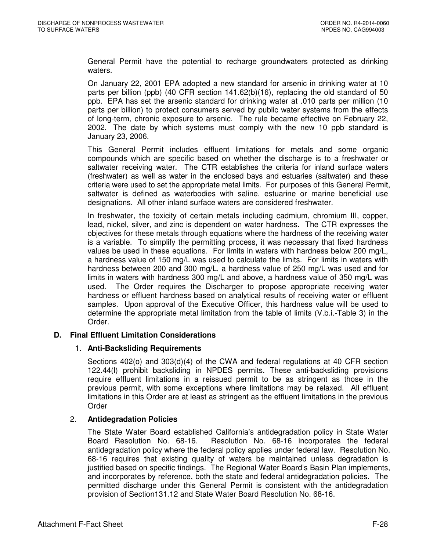General Permit have the potential to recharge groundwaters protected as drinking waters.

On January 22, 2001 EPA adopted a new standard for arsenic in drinking water at 10 parts per billion (ppb) (40 CFR section 141.62(b)(16), replacing the old standard of 50 ppb. EPA has set the arsenic standard for drinking water at .010 parts per million (10 parts per billion) to protect consumers served by public water systems from the effects of long-term, chronic exposure to arsenic. The rule became effective on February 22, 2002. The date by which systems must comply with the new 10 ppb standard is January 23, 2006.

This General Permit includes effluent limitations for metals and some organic compounds which are specific based on whether the discharge is to a freshwater or saltwater receiving water. The CTR establishes the criteria for inland surface waters (freshwater) as well as water in the enclosed bays and estuaries (saltwater) and these criteria were used to set the appropriate metal limits. For purposes of this General Permit, saltwater is defined as waterbodies with saline, estuarine or marine beneficial use designations. All other inland surface waters are considered freshwater.

In freshwater, the toxicity of certain metals including cadmium, chromium III, copper, lead, nickel, silver, and zinc is dependent on water hardness. The CTR expresses the objectives for these metals through equations where the hardness of the receiving water is a variable. To simplify the permitting process, it was necessary that fixed hardness values be used in these equations. For limits in waters with hardness below 200 mg/L, a hardness value of 150 mg/L was used to calculate the limits. For limits in waters with hardness between 200 and 300 mg/L, a hardness value of 250 mg/L was used and for limits in waters with hardness 300 mg/L and above, a hardness value of 350 mg/L was used. The Order requires the Discharger to propose appropriate receiving water hardness or effluent hardness based on analytical results of receiving water or effluent samples. Upon approval of the Executive Officer, this hardness value will be used to determine the appropriate metal limitation from the table of limits (V.b.i.-Table 3) in the Order.

# **D. Final Effluent Limitation Considerations**

#### 1. **Anti-Backsliding Requirements**

Sections 402(o) and 303(d)(4) of the CWA and federal regulations at 40 CFR section 122.44(l) prohibit backsliding in NPDES permits. These anti-backsliding provisions require effluent limitations in a reissued permit to be as stringent as those in the previous permit, with some exceptions where limitations may be relaxed. All effluent limitations in this Order are at least as stringent as the effluent limitations in the previous Order

# 2. **Antidegradation Policies**

The State Water Board established California's antidegradation policy in State Water Board Resolution No. 68-16. Resolution No. 68-16 incorporates the federal antidegradation policy where the federal policy applies under federal law. Resolution No. 68-16 requires that existing quality of waters be maintained unless degradation is justified based on specific findings. The Regional Water Board's Basin Plan implements, and incorporates by reference, both the state and federal antidegradation policies. The permitted discharge under this General Permit is consistent with the antidegradation provision of Section131.12 and State Water Board Resolution No. 68-16.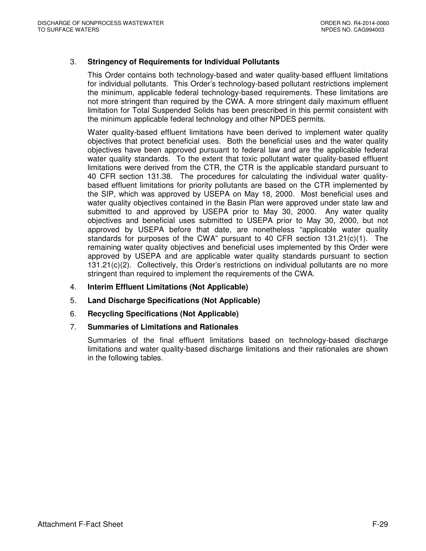# 3. **Stringency of Requirements for Individual Pollutants**

This Order contains both technology-based and water quality-based effluent limitations for individual pollutants. This Order's technology-based pollutant restrictions implement the minimum, applicable federal technology-based requirements. These limitations are not more stringent than required by the CWA. A more stringent daily maximum effluent limitation for Total Suspended Solids has been prescribed in this permit consistent with the minimum applicable federal technology and other NPDES permits.

Water quality-based effluent limitations have been derived to implement water quality objectives that protect beneficial uses. Both the beneficial uses and the water quality objectives have been approved pursuant to federal law and are the applicable federal water quality standards. To the extent that toxic pollutant water quality-based effluent limitations were derived from the CTR, the CTR is the applicable standard pursuant to 40 CFR section 131.38. The procedures for calculating the individual water qualitybased effluent limitations for priority pollutants are based on the CTR implemented by the SIP, which was approved by USEPA on May 18, 2000. Most beneficial uses and water quality objectives contained in the Basin Plan were approved under state law and submitted to and approved by USEPA prior to May 30, 2000. Any water quality objectives and beneficial uses submitted to USEPA prior to May 30, 2000, but not approved by USEPA before that date, are nonetheless "applicable water quality standards for purposes of the CWA" pursuant to 40 CFR section 131.21(c)(1). The remaining water quality objectives and beneficial uses implemented by this Order were approved by USEPA and are applicable water quality standards pursuant to section 131.21(c)(2). Collectively, this Order's restrictions on individual pollutants are no more stringent than required to implement the requirements of the CWA.

- 4. **Interim Effluent Limitations (Not Applicable)**
- 5. **Land Discharge Specifications (Not Applicable)**
- 6. **Recycling Specifications (Not Applicable)**
- 7. **Summaries of Limitations and Rationales**

Summaries of the final effluent limitations based on technology-based discharge limitations and water quality-based discharge limitations and their rationales are shown in the following tables.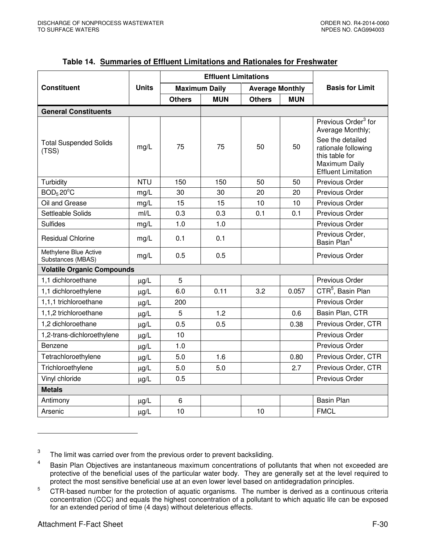|                                            | <b>Units</b> |                      | <b>Effluent Limitations</b> | <b>Basis for Limit</b> |                        |                                                                                                                                                                 |
|--------------------------------------------|--------------|----------------------|-----------------------------|------------------------|------------------------|-----------------------------------------------------------------------------------------------------------------------------------------------------------------|
| <b>Constituent</b>                         |              | <b>Maximum Daily</b> |                             |                        | <b>Average Monthly</b> |                                                                                                                                                                 |
|                                            |              | <b>Others</b>        | <b>MUN</b>                  | <b>Others</b>          | <b>MUN</b>             |                                                                                                                                                                 |
| <b>General Constituents</b>                |              |                      |                             |                        |                        |                                                                                                                                                                 |
| <b>Total Suspended Solids</b><br>(TSS)     | mg/L         | 75                   | 75                          | 50                     | 50                     | Previous Order <sup>3</sup> for<br>Average Monthly;<br>See the detailed<br>rationale following<br>this table for<br>Maximum Daily<br><b>Effluent Limitation</b> |
| Turbidity                                  | <b>NTU</b>   | 150                  | 150                         | 50                     | 50                     | Previous Order                                                                                                                                                  |
| BOD <sub>5</sub> 20 <sup>°</sup> C         | mg/L         | 30                   | 30                          | 20                     | 20                     | Previous Order                                                                                                                                                  |
| Oil and Grease                             | mg/L         | 15                   | 15                          | 10                     | 10                     | Previous Order                                                                                                                                                  |
| Settleable Solids                          | m/L          | 0.3                  | 0.3                         | 0.1                    | 0.1                    | Previous Order                                                                                                                                                  |
| <b>Sulfides</b>                            | mg/L         | 1.0                  | 1.0                         |                        |                        | Previous Order                                                                                                                                                  |
| <b>Residual Chlorine</b>                   | mg/L         | 0.1                  | 0.1                         |                        |                        | Previous Order,<br>Basin Plan <sup>4</sup>                                                                                                                      |
| Methylene Blue Active<br>Substances (MBAS) | mg/L         | 0.5                  | 0.5                         |                        |                        | Previous Order                                                                                                                                                  |
| <b>Volatile Organic Compounds</b>          |              |                      |                             |                        |                        |                                                                                                                                                                 |
| 1,1 dichloroethane                         | $\mu g/L$    | 5                    |                             |                        |                        | Previous Order                                                                                                                                                  |
| 1,1 dichloroethylene                       | $\mu$ g/L    | 6.0                  | 0.11                        | 3.2                    | 0.057                  | CTR <sup>5</sup> , Basin Plan                                                                                                                                   |
| 1,1,1 trichloroethane                      | $\mu$ g/L    | 200                  |                             |                        |                        | Previous Order                                                                                                                                                  |
| 1,1,2 trichloroethane                      | $\mu$ g/L    | 5                    | 1.2                         |                        | 0.6                    | Basin Plan, CTR                                                                                                                                                 |
| 1,2 dichloroethane                         | $\mu$ g/L    | 0.5                  | 0.5                         |                        | 0.38                   | Previous Order, CTR                                                                                                                                             |
| 1,2-trans-dichloroethylene                 | $\mu$ g/L    | 10                   |                             |                        |                        | Previous Order                                                                                                                                                  |
| Benzene                                    | $\mu g/L$    | 1.0                  |                             |                        |                        | Previous Order                                                                                                                                                  |
| Tetrachloroethylene                        | $\mu$ g/L    | 5.0                  | 1.6                         |                        | 0.80                   | Previous Order, CTR                                                                                                                                             |
| Trichloroethylene                          | $\mu g/L$    | 5.0                  | 5.0                         |                        | 2.7                    | Previous Order, CTR                                                                                                                                             |
| Vinyl chloride                             | $\mu$ g/L    | 0.5                  |                             |                        |                        | Previous Order                                                                                                                                                  |
| <b>Metals</b>                              |              |                      |                             |                        |                        |                                                                                                                                                                 |
| Antimony                                   | $\mu$ g/L    | 6                    |                             |                        |                        | <b>Basin Plan</b>                                                                                                                                               |
| Arsenic                                    | $\mu$ g/L    | 10                   |                             | 10                     |                        | <b>FMCL</b>                                                                                                                                                     |

# **Table 14. Summaries of Effluent Limitations and Rationales for Freshwater**

-

<sup>3</sup> The limit was carried over from the previous order to prevent backsliding.

<sup>4</sup> Basin Plan Objectives are instantaneous maximum concentrations of pollutants that when not exceeded are protective of the beneficial uses of the particular water body. They are generally set at the level required to protect the most sensitive beneficial use at an even lower level based on antidegradation principles.

<sup>5</sup> CTR-based number for the protection of aquatic organisms. The number is derived as a continuous criteria concentration (CCC) and equals the highest concentration of a pollutant to which aquatic life can be exposed for an extended period of time (4 days) without deleterious effects.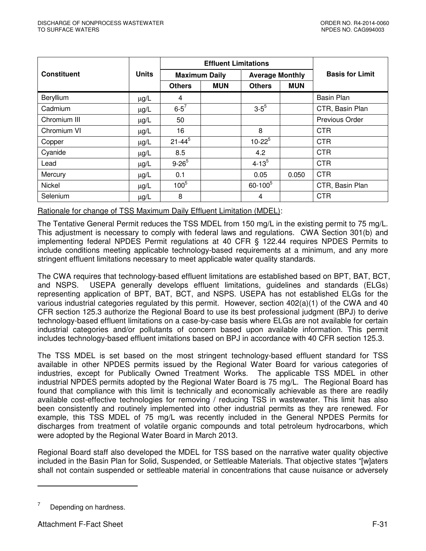|                    |              |                      | <b>Effluent Limitations</b> | <b>Basis for Limit</b> |                        |                 |
|--------------------|--------------|----------------------|-----------------------------|------------------------|------------------------|-----------------|
| <b>Constituent</b> | <b>Units</b> | <b>Maximum Daily</b> |                             |                        | <b>Average Monthly</b> |                 |
|                    |              | <b>Others</b>        | <b>MUN</b>                  | <b>Others</b>          | <b>MUN</b>             |                 |
| Beryllium          | $\mu$ g/L    | 4                    |                             |                        |                        | Basin Plan      |
| Cadmium            | $\mu$ g/L    | $6 - 5^7$            |                             | $3 - 5^5$              |                        | CTR, Basin Plan |
| Chromium III       | $\mu$ g/L    | 50                   |                             |                        |                        | Previous Order  |
| Chromium VI        | $\mu$ g/L    | 16                   |                             | 8                      |                        | <b>CTR</b>      |
| Copper             | $\mu$ g/L    | $21 - 44^{5}$        |                             | $10 - 22^{5}$          |                        | <b>CTR</b>      |
| Cyanide            | $\mu$ g/L    | 8.5                  |                             | 4.2                    |                        | <b>CTR</b>      |
| Lead               | $\mu$ g/L    | $9 - 26^{5}$         |                             | $4 - 13^{5}$           |                        | <b>CTR</b>      |
| Mercury            | $\mu$ g/L    | 0.1                  |                             | 0.05                   | 0.050                  | <b>CTR</b>      |
| Nickel             | $\mu$ g/L    | $100^{5}$            |                             | $60 - 100^{5}$         |                        | CTR, Basin Plan |
| Selenium           | $\mu$ g/L    | 8                    |                             | 4                      |                        | <b>CTR</b>      |

Rationale for change of TSS Maximum Daily Effluent Limitation (MDEL):

The Tentative General Permit reduces the TSS MDEL from 150 mg/L in the existing permit to 75 mg/L. This adjustment is necessary to comply with federal laws and regulations. CWA Section 301(b) and implementing federal NPDES Permit regulations at 40 CFR § 122.44 requires NPDES Permits to include conditions meeting applicable technology-based requirements at a minimum, and any more stringent effluent limitations necessary to meet applicable water quality standards.

The CWA requires that technology-based effluent limitations are established based on BPT, BAT, BCT, and NSPS. USEPA generally develops effluent limitations, guidelines and standards (ELGs) representing application of BPT, BAT, BCT, and NSPS. USEPA has not established ELGs for the various industrial categories regulated by this permit. However, section 402(a)(1) of the CWA and 40 CFR section 125.3 authorize the Regional Board to use its best professional judgment (BPJ) to derive technology-based effluent limitations on a case-by-case basis where ELGs are not available for certain industrial categories and/or pollutants of concern based upon available information. This permit includes technology-based effluent imitations based on BPJ in accordance with 40 CFR section 125.3.

The TSS MDEL is set based on the most stringent technology-based effluent standard for TSS available in other NPDES permits issued by the Regional Water Board for various categories of industries, except for Publically Owned Treatment Works. The applicable TSS MDEL in other industrial NPDES permits adopted by the Regional Water Board is 75 mg/L. The Regional Board has found that compliance with this limit is technically and economically achievable as there are readily available cost-effective technologies for removing / reducing TSS in wastewater. This limit has also been consistently and routinely implemented into other industrial permits as they are renewed. For example, this TSS MDEL of 75 mg/L was recently included in the General NPDES Permits for discharges from treatment of volatile organic compounds and total petroleum hydrocarbons, which were adopted by the Regional Water Board in March 2013.

Regional Board staff also developed the MDEL for TSS based on the narrative water quality objective included in the Basin Plan for Solid, Suspended, or Settleable Materials. That objective states "[w]aters shall not contain suspended or settleable material in concentrations that cause nuisance or adversely

-

<sup>7</sup> Depending on hardness.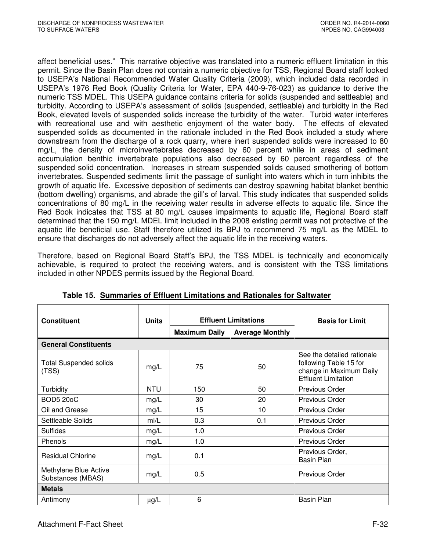affect beneficial uses." This narrative objective was translated into a numeric effluent limitation in this permit. Since the Basin Plan does not contain a numeric objective for TSS, Regional Board staff looked to USEPA's National Recommended Water Quality Criteria (2009), which included data recorded in USEPA's 1976 Red Book (Quality Criteria for Water, EPA 440-9-76-023) as guidance to derive the numeric TSS MDEL. This USEPA guidance contains criteria for solids (suspended and settleable) and turbidity. According to USEPA's assessment of solids (suspended, settleable) and turbidity in the Red Book, elevated levels of suspended solids increase the turbidity of the water. Turbid water interferes with recreational use and with aesthetic enjoyment of the water body. The effects of elevated suspended solids as documented in the rationale included in the Red Book included a study where downstream from the discharge of a rock quarry, where inert suspended solids were increased to 80 mg/L, the density of microinvertebrates decreased by 60 percent while in areas of sediment accumulation benthic invertebrate populations also decreased by 60 percent regardless of the suspended solid concentration. Increases in stream suspended solids caused smothering of bottom invertebrates. Suspended sediments limit the passage of sunlight into waters which in turn inhibits the growth of aquatic life. Excessive deposition of sediments can destroy spawning habitat blanket benthic (bottom dwelling) organisms, and abrade the gill's of larval. This study indicates that suspended solids concentrations of 80 mg/L in the receiving water results in adverse effects to aquatic life. Since the Red Book indicates that TSS at 80 mg/L causes impairments to aquatic life, Regional Board staff determined that the 150 mg/L MDEL limit included in the 2008 existing permit was not protective of the aquatic life beneficial use. Staff therefore utilized its BPJ to recommend 75 mg/L as the MDEL to ensure that discharges do not adversely affect the aquatic life in the receiving waters.

Therefore, based on Regional Board Staff's BPJ, the TSS MDEL is technically and economically achievable, is required to protect the receiving waters, and is consistent with the TSS limitations included in other NPDES permits issued by the Regional Board.

| <b>Constituent</b>                         | <b>Units</b> | <b>Effluent Limitations</b> |                        | <b>Basis for Limit</b>                                                                                        |  |  |  |
|--------------------------------------------|--------------|-----------------------------|------------------------|---------------------------------------------------------------------------------------------------------------|--|--|--|
|                                            |              | <b>Maximum Daily</b>        | <b>Average Monthly</b> |                                                                                                               |  |  |  |
| <b>General Constituents</b>                |              |                             |                        |                                                                                                               |  |  |  |
| <b>Total Suspended solids</b><br>(TSS)     | mg/L         | 75                          | 50                     | See the detailed rationale<br>following Table 15 for<br>change in Maximum Daily<br><b>Effluent Limitation</b> |  |  |  |
| Turbidity                                  | <b>NTU</b>   | 150                         | 50                     | Previous Order                                                                                                |  |  |  |
| <b>BOD5 20oC</b>                           | mg/L         | 30                          | 20                     | Previous Order                                                                                                |  |  |  |
| Oil and Grease                             | mg/L         | 15                          | 10                     | Previous Order                                                                                                |  |  |  |
| Settleable Solids                          | mI/L         | 0.3                         | 0.1                    | Previous Order                                                                                                |  |  |  |
| <b>Sulfides</b>                            | mg/L         | 1.0                         |                        | Previous Order                                                                                                |  |  |  |
| Phenols                                    | mg/L         | 1.0                         |                        | Previous Order                                                                                                |  |  |  |
| <b>Residual Chlorine</b>                   | mg/L         | 0.1                         |                        | Previous Order,<br><b>Basin Plan</b>                                                                          |  |  |  |
| Methylene Blue Active<br>Substances (MBAS) | mg/L         | 0.5                         |                        | <b>Previous Order</b>                                                                                         |  |  |  |
| <b>Metals</b>                              |              |                             |                        |                                                                                                               |  |  |  |
| Antimony                                   | $\mu$ g/L    | 6                           |                        | Basin Plan                                                                                                    |  |  |  |

**Table 15. Summaries of Effluent Limitations and Rationales for Saltwater**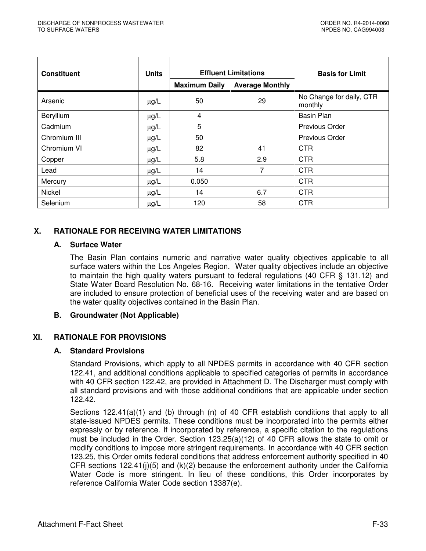| <b>Constituent</b> | <b>Units</b> | <b>Effluent Limitations</b> |                        | <b>Basis for Limit</b>              |
|--------------------|--------------|-----------------------------|------------------------|-------------------------------------|
|                    |              | <b>Maximum Daily</b>        | <b>Average Monthly</b> |                                     |
| Arsenic            | $\mu$ g/L    | 50                          | 29                     | No Change for daily, CTR<br>monthly |
| Beryllium          | $\mu$ g/L    | 4                           |                        | Basin Plan                          |
| Cadmium            | $\mu$ g/L    | 5                           |                        | Previous Order                      |
| Chromium III       | $\mu$ g/L    | 50                          |                        | Previous Order                      |
| Chromium VI        | $\mu$ g/L    | 82                          | 41                     | CTR.                                |
| Copper             | $\mu$ g/L    | 5.8                         | 2.9                    | <b>CTR</b>                          |
| Lead               | $\mu$ g/L    | 14                          | 7                      | <b>CTR</b>                          |
| Mercury            | $\mu$ g/L    | 0.050                       |                        | <b>CTR</b>                          |
| Nickel             | $\mu$ g/L    | 14                          | 6.7                    | <b>CTR</b>                          |
| Selenium           | $\mu$ g/L    | 120                         | 58                     | <b>CTR</b>                          |

# **X. RATIONALE FOR RECEIVING WATER LIMITATIONS**

# **A. Surface Water**

The Basin Plan contains numeric and narrative water quality objectives applicable to all surface waters within the Los Angeles Region. Water quality objectives include an objective to maintain the high quality waters pursuant to federal regulations (40 CFR § 131.12) and State Water Board Resolution No. 68-16. Receiving water limitations in the tentative Order are included to ensure protection of beneficial uses of the receiving water and are based on the water quality objectives contained in the Basin Plan.

# **B. Groundwater (Not Applicable)**

# **XI. RATIONALE FOR PROVISIONS**

# **A. Standard Provisions**

Standard Provisions, which apply to all NPDES permits in accordance with 40 CFR section 122.41, and additional conditions applicable to specified categories of permits in accordance with 40 CFR section 122.42, are provided in Attachment D. The Discharger must comply with all standard provisions and with those additional conditions that are applicable under section 122.42.

Sections  $122.41(a)(1)$  and (b) through (n) of 40 CFR establish conditions that apply to all state-issued NPDES permits. These conditions must be incorporated into the permits either expressly or by reference. If incorporated by reference, a specific citation to the regulations must be included in the Order. Section  $123.25(a)(12)$  of 40 CFR allows the state to omit or modify conditions to impose more stringent requirements. In accordance with 40 CFR section 123.25, this Order omits federal conditions that address enforcement authority specified in 40 CFR sections  $122.41(j)(5)$  and  $(k)(2)$  because the enforcement authority under the California Water Code is more stringent. In lieu of these conditions, this Order incorporates by reference California Water Code section 13387(e).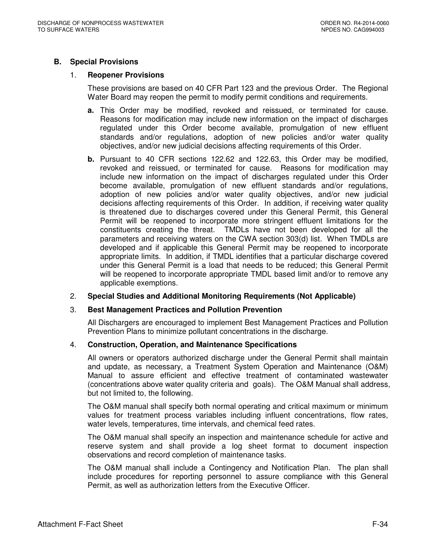## **B. Special Provisions**

#### 1. **Reopener Provisions**

These provisions are based on 40 CFR Part 123 and the previous Order. The Regional Water Board may reopen the permit to modify permit conditions and requirements.

- **a.** This Order may be modified, revoked and reissued, or terminated for cause. Reasons for modification may include new information on the impact of discharges regulated under this Order become available, promulgation of new effluent standards and/or regulations, adoption of new policies and/or water quality objectives, and/or new judicial decisions affecting requirements of this Order.
- **b.** Pursuant to 40 CFR sections 122.62 and 122.63, this Order may be modified, revoked and reissued, or terminated for cause. Reasons for modification may include new information on the impact of discharges regulated under this Order become available, promulgation of new effluent standards and/or regulations, adoption of new policies and/or water quality objectives, and/or new judicial decisions affecting requirements of this Order. In addition, if receiving water quality is threatened due to discharges covered under this General Permit, this General Permit will be reopened to incorporate more stringent effluent limitations for the constituents creating the threat. TMDLs have not been developed for all the parameters and receiving waters on the CWA section 303(d) list. When TMDLs are developed and if applicable this General Permit may be reopened to incorporate appropriate limits. In addition, if TMDL identifies that a particular discharge covered under this General Permit is a load that needs to be reduced; this General Permit will be reopened to incorporate appropriate TMDL based limit and/or to remove any applicable exemptions.

#### 2. **Special Studies and Additional Monitoring Requirements (Not Applicable)**

#### 3. **Best Management Practices and Pollution Prevention**

All Dischargers are encouraged to implement Best Management Practices and Pollution Prevention Plans to minimize pollutant concentrations in the discharge.

#### 4. **Construction, Operation, and Maintenance Specifications**

All owners or operators authorized discharge under the General Permit shall maintain and update, as necessary, a Treatment System Operation and Maintenance (O&M) Manual to assure efficient and effective treatment of contaminated wastewater (concentrations above water quality criteria and goals). The O&M Manual shall address, but not limited to, the following.

The O&M manual shall specify both normal operating and critical maximum or minimum values for treatment process variables including influent concentrations, flow rates, water levels, temperatures, time intervals, and chemical feed rates.

The O&M manual shall specify an inspection and maintenance schedule for active and reserve system and shall provide a log sheet format to document inspection observations and record completion of maintenance tasks.

The O&M manual shall include a Contingency and Notification Plan. The plan shall include procedures for reporting personnel to assure compliance with this General Permit, as well as authorization letters from the Executive Officer.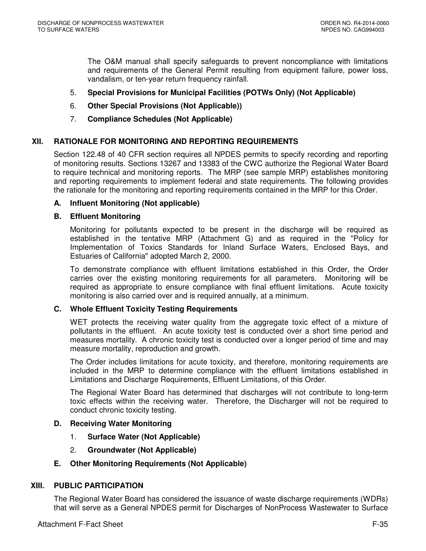The O&M manual shall specify safeguards to prevent noncompliance with limitations and requirements of the General Permit resulting from equipment failure, power loss, vandalism, or ten-year return frequency rainfall.

# 5. **Special Provisions for Municipal Facilities (POTWs Only) (Not Applicable)**

- 6. **Other Special Provisions (Not Applicable))**
- 7. **Compliance Schedules (Not Applicable)**

# **XII. RATIONALE FOR MONITORING AND REPORTING REQUIREMENTS**

Section 122.48 of 40 CFR section requires all NPDES permits to specify recording and reporting of monitoring results. Sections 13267 and 13383 of the CWC authorize the Regional Water Board to require technical and monitoring reports. The MRP (see sample MRP) establishes monitoring and reporting requirements to implement federal and state requirements. The following provides the rationale for the monitoring and reporting requirements contained in the MRP for this Order.

## **A. Influent Monitoring (Not applicable)**

## **B. Effluent Monitoring**

Monitoring for pollutants expected to be present in the discharge will be required as established in the tentative MRP (Attachment G) and as required in the "Policy for Implementation of Toxics Standards for Inland Surface Waters, Enclosed Bays, and Estuaries of California" adopted March 2, 2000.

To demonstrate compliance with effluent limitations established in this Order, the Order carries over the existing monitoring requirements for all parameters. Monitoring will be required as appropriate to ensure compliance with final effluent limitations. Acute toxicity monitoring is also carried over and is required annually, at a minimum.

#### **C. Whole Effluent Toxicity Testing Requirements**

WET protects the receiving water quality from the aggregate toxic effect of a mixture of pollutants in the effluent. An acute toxicity test is conducted over a short time period and measures mortality. A chronic toxicity test is conducted over a longer period of time and may measure mortality, reproduction and growth.

The Order includes limitations for acute toxicity, and therefore, monitoring requirements are included in the MRP to determine compliance with the effluent limitations established in Limitations and Discharge Requirements, Effluent Limitations, of this Order.

The Regional Water Board has determined that discharges will not contribute to long-term toxic effects within the receiving water. Therefore, the Discharger will not be required to conduct chronic toxicity testing.

#### **D. Receiving Water Monitoring**

- 1. **Surface Water (Not Applicable)**
- 2. **Groundwater (Not Applicable)**

# **E. Other Monitoring Requirements (Not Applicable)**

# **XIII. PUBLIC PARTICIPATION**

The Regional Water Board has considered the issuance of waste discharge requirements (WDRs) that will serve as a General NPDES permit for Discharges of NonProcess Wastewater to Surface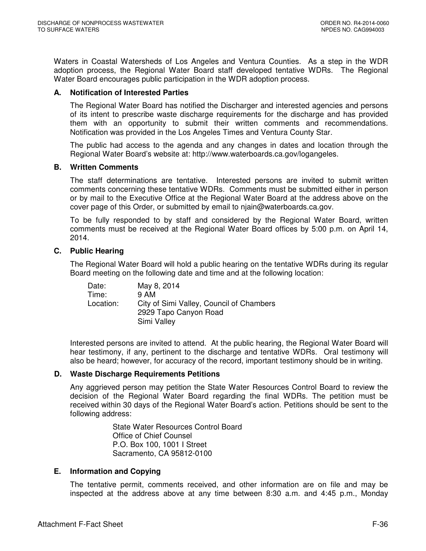Waters in Coastal Watersheds of Los Angeles and Ventura Counties. As a step in the WDR adoption process, the Regional Water Board staff developed tentative WDRs. The Regional Water Board encourages public participation in the WDR adoption process.

## **A. Notification of Interested Parties**

The Regional Water Board has notified the Discharger and interested agencies and persons of its intent to prescribe waste discharge requirements for the discharge and has provided them with an opportunity to submit their written comments and recommendations. Notification was provided in the Los Angeles Times and Ventura County Star.

The public had access to the agenda and any changes in dates and location through the Regional Water Board's website at: http://www.waterboards.ca.gov/logangeles.

#### **B. Written Comments**

The staff determinations are tentative. Interested persons are invited to submit written comments concerning these tentative WDRs. Comments must be submitted either in person or by mail to the Executive Office at the Regional Water Board at the address above on the cover page of this Order, or submitted by email to njain@waterboards.ca.gov.

To be fully responded to by staff and considered by the Regional Water Board, written comments must be received at the Regional Water Board offices by 5:00 p.m. on April 14, 2014.

## **C. Public Hearing**

The Regional Water Board will hold a public hearing on the tentative WDRs during its regular Board meeting on the following date and time and at the following location:

| Date:     | May 8, 2014                              |
|-----------|------------------------------------------|
| Time:     | 9 AM                                     |
| Location: | City of Simi Valley, Council of Chambers |
|           | 2929 Tapo Canyon Road                    |
|           | Simi Valley                              |

Interested persons are invited to attend. At the public hearing, the Regional Water Board will hear testimony, if any, pertinent to the discharge and tentative WDRs. Oral testimony will also be heard; however, for accuracy of the record, important testimony should be in writing.

#### **D. Waste Discharge Requirements Petitions**

Any aggrieved person may petition the State Water Resources Control Board to review the decision of the Regional Water Board regarding the final WDRs. The petition must be received within 30 days of the Regional Water Board's action. Petitions should be sent to the following address:

> State Water Resources Control Board Office of Chief Counsel P.O. Box 100, 1001 I Street Sacramento, CA 95812-0100

# **E. Information and Copying**

The tentative permit, comments received, and other information are on file and may be inspected at the address above at any time between 8:30 a.m. and 4:45 p.m., Monday